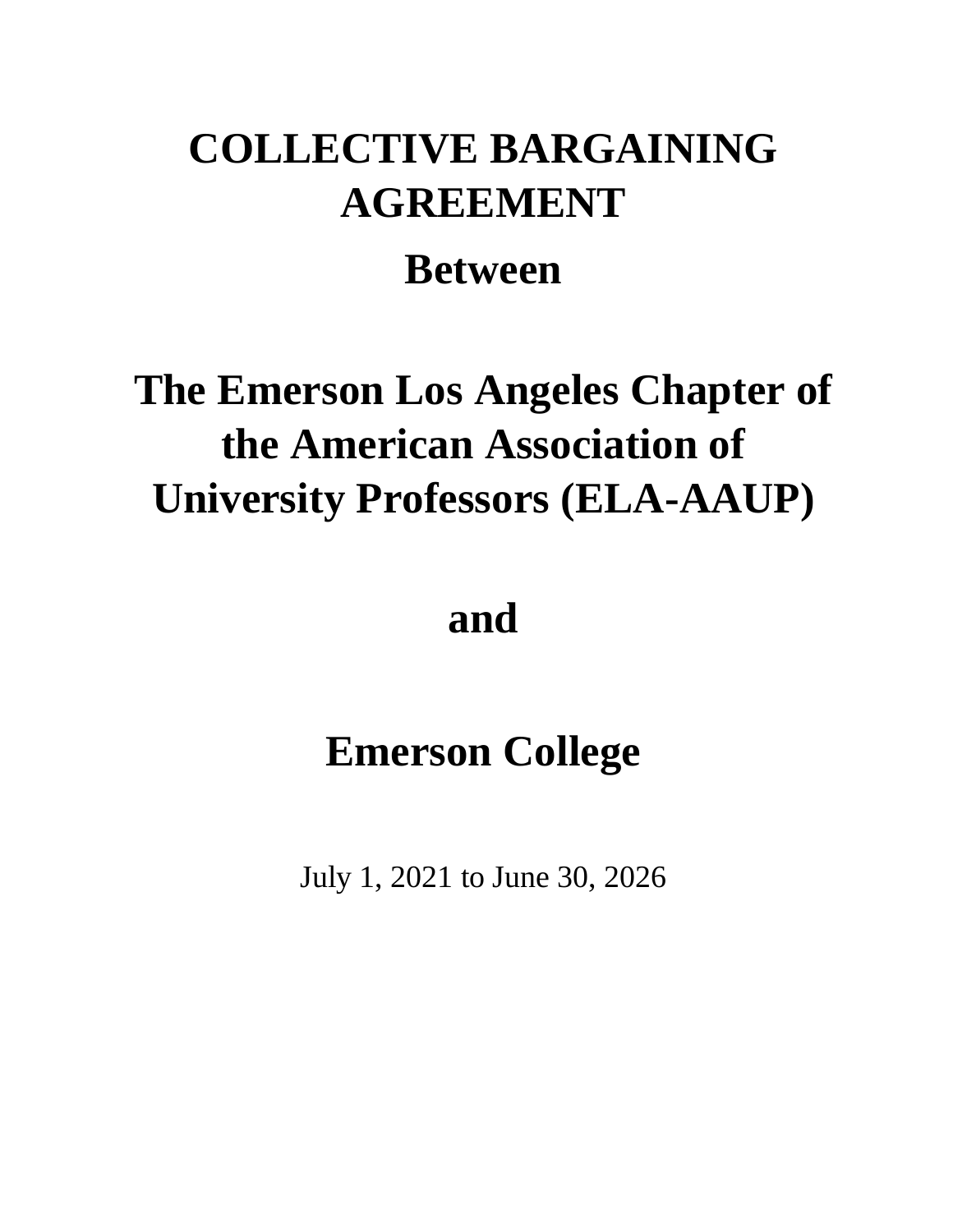# **COLLECTIVE BARGAINING AGREEMENT**

# **Between**

# **The Emerson Los Angeles Chapter of the American Association of University Professors (ELA-AAUP)**

# **and**

# **Emerson College**

July 1, 2021 to June 30, 2026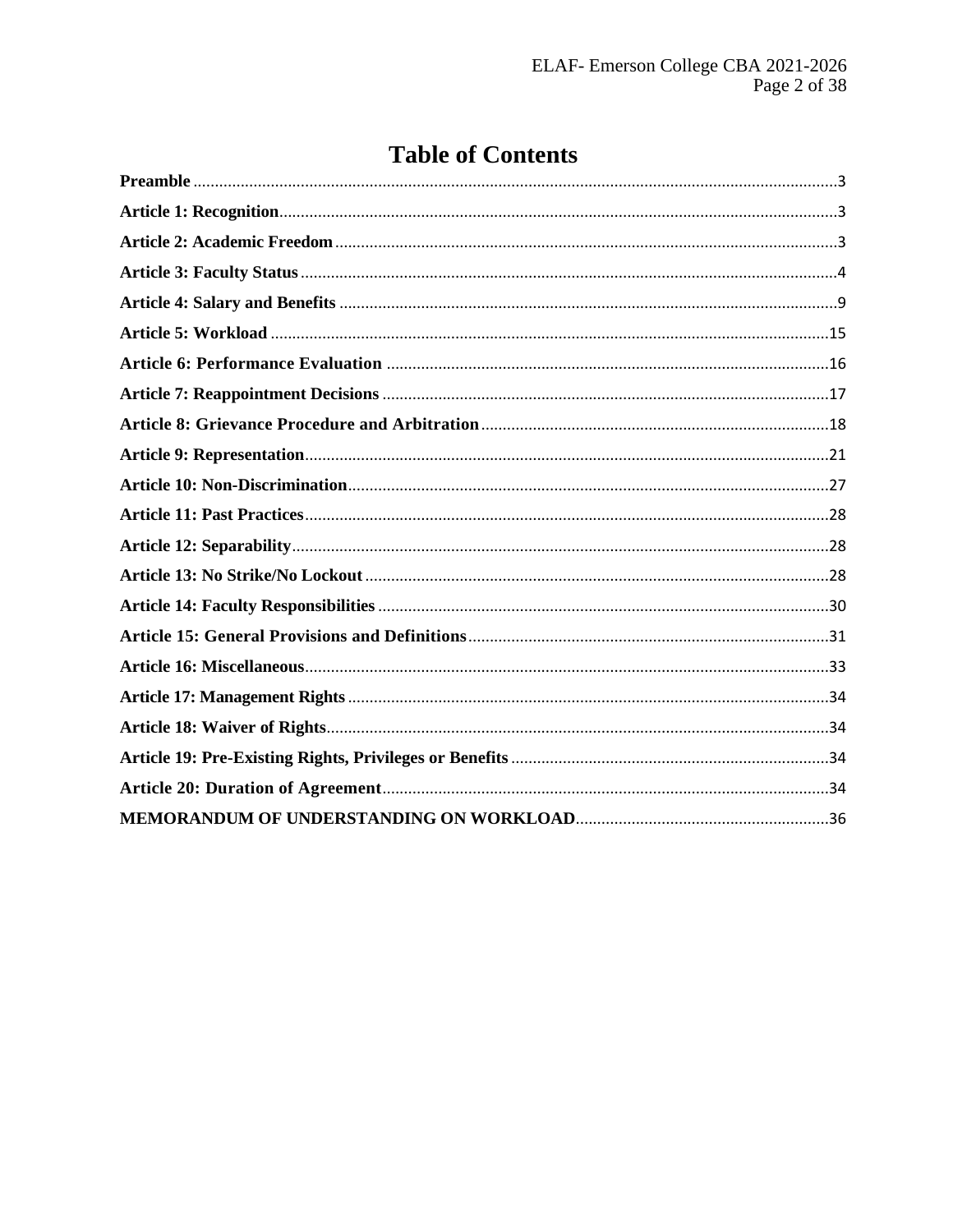# **Table of Contents**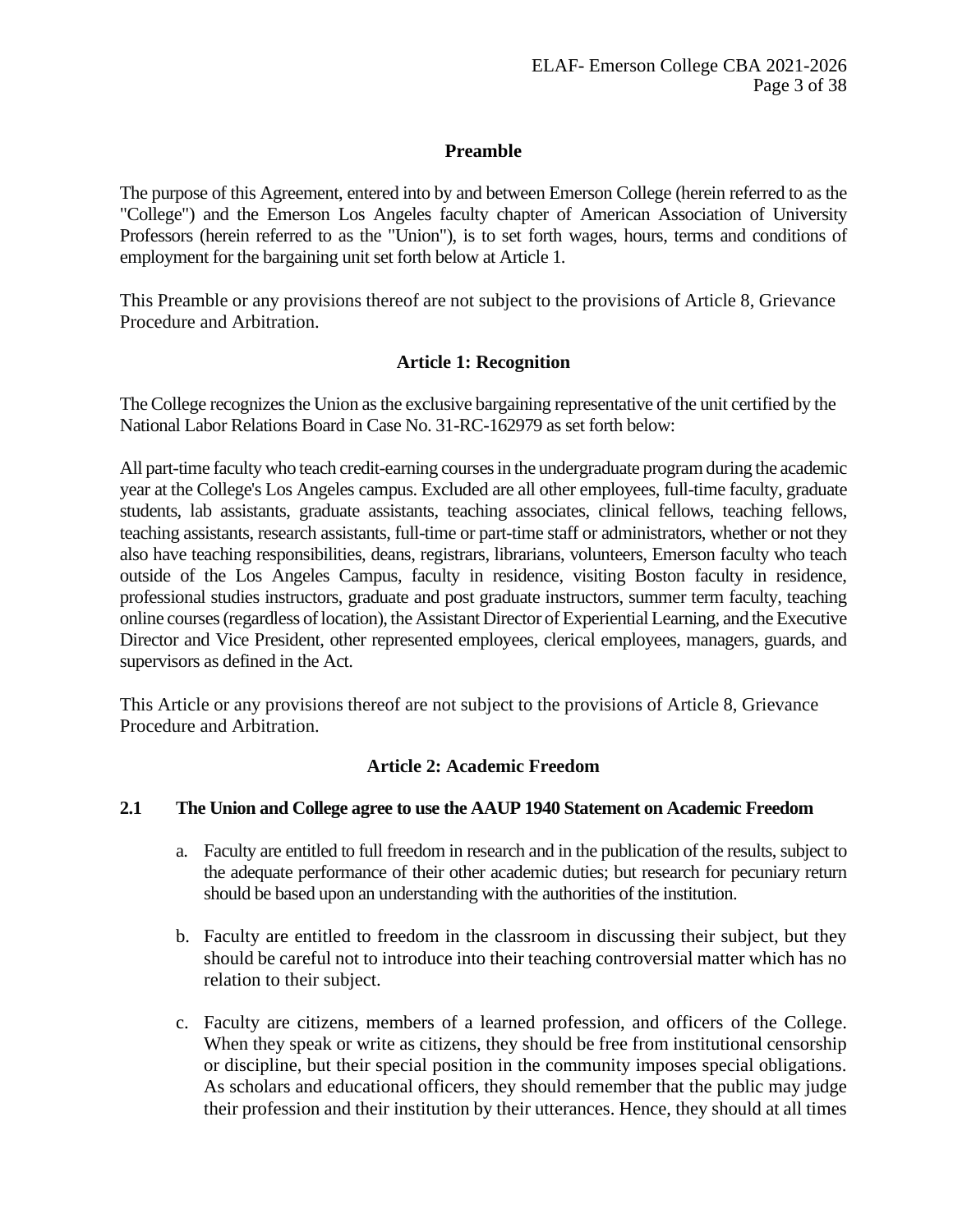#### **Preamble**

<span id="page-2-0"></span>The purpose of this Agreement, entered into by and between Emerson College (herein referred to as the "College") and the Emerson Los Angeles faculty chapter of American Association of University Professors (herein referred to as the "Union"), is to set forth wages, hours, terms and conditions of employment for the bargaining unit set forth below at Article 1.

<span id="page-2-1"></span>This Preamble or any provisions thereof are not subject to the provisions of Article 8, Grievance Procedure and Arbitration.

#### **Article 1: Recognition**

The College recognizes the Union as the exclusive bargaining representative of the unit certified by the National Labor Relations Board in Case No. 31-RC-162979 as set forth below:

All part-time faculty who teach credit-earning courses in the undergraduate program during the academic year at the College's Los Angeles campus. Excluded are all other employees, full-time faculty, graduate students, lab assistants, graduate assistants, teaching associates, clinical fellows, teaching fellows, teaching assistants, research assistants, full-time or part-time staff or administrators, whether or not they also have teaching responsibilities, deans, registrars, librarians, volunteers, Emerson faculty who teach outside of the Los Angeles Campus, faculty in residence, visiting Boston faculty in residence, professional studies instructors, graduate and post graduate instructors, summer term faculty, teaching online courses (regardless of location), the Assistant Director of Experiential Learning, and the Executive Director and Vice President, other represented employees, clerical employees, managers, guards, and supervisors as defined in the Act.

<span id="page-2-2"></span>This Article or any provisions thereof are not subject to the provisions of Article 8, Grievance Procedure and Arbitration.

#### **Article 2: Academic Freedom**

#### **2.1 The Union and College agree to use the AAUP 1940 Statement on Academic Freedom**

- a. Faculty are entitled to full freedom in research and in the publication of the results, subject to the adequate performance of their other academic duties; but research for pecuniary return should be based upon an understanding with the authorities of the institution.
- b. Faculty are entitled to freedom in the classroom in discussing their subject, but they should be careful not to introduce into their teaching controversial matter which has no relation to their subject.
- c. Faculty are citizens, members of a learned profession, and officers of the College. When they speak or write as citizens, they should be free from institutional censorship or discipline, but their special position in the community imposes special obligations. As scholars and educational officers, they should remember that the public may judge their profession and their institution by their utterances. Hence, they should at all times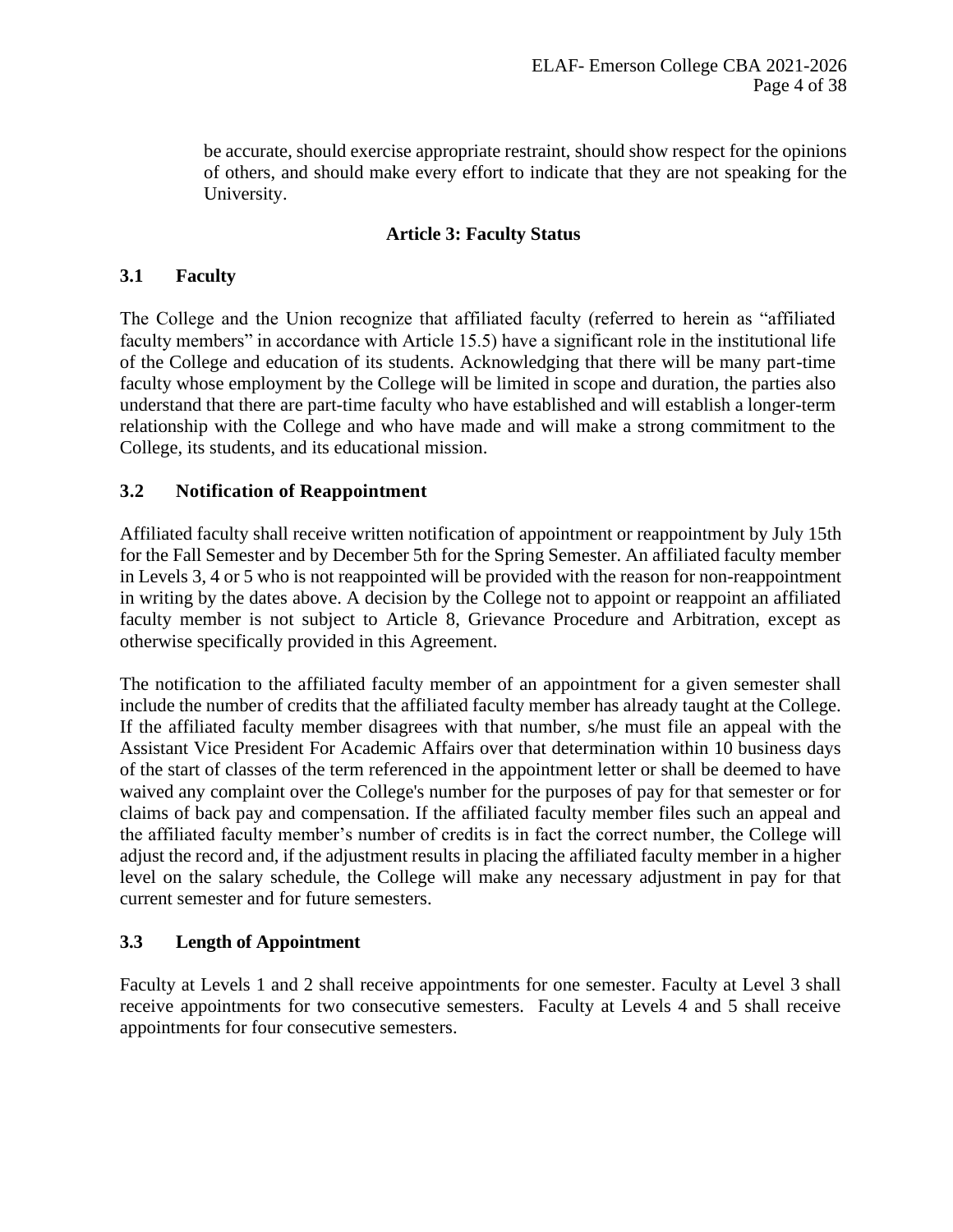be accurate, should exercise appropriate restraint, should show respect for the opinions of others, and should make every effort to indicate that they are not speaking for the University.

# **Article 3: Faculty Status**

# <span id="page-3-0"></span>**3.1 Faculty**

The College and the Union recognize that affiliated faculty (referred to herein as "affiliated faculty members" in accordance with Article 15.5) have a significant role in the institutional life of the College and education of its students. Acknowledging that there will be many part-time faculty whose employment by the College will be limited in scope and duration, the parties also understand that there are part-time faculty who have established and will establish a longer-term relationship with the College and who have made and will make a strong commitment to the College, its students, and its educational mission.

# **3.2 Notification of Reappointment**

Affiliated faculty shall receive written notification of appointment or reappointment by July 15th for the Fall Semester and by December 5th for the Spring Semester. An affiliated faculty member in Levels 3, 4 or 5 who is not reappointed will be provided with the reason for non-reappointment in writing by the dates above. A decision by the College not to appoint or reappoint an affiliated faculty member is not subject to Article 8, Grievance Procedure and Arbitration, except as otherwise specifically provided in this Agreement.

The notification to the affiliated faculty member of an appointment for a given semester shall include the number of credits that the affiliated faculty member has already taught at the College. If the affiliated faculty member disagrees with that number, s/he must file an appeal with the Assistant Vice President For Academic Affairs over that determination within 10 business days of the start of classes of the term referenced in the appointment letter or shall be deemed to have waived any complaint over the College's number for the purposes of pay for that semester or for claims of back pay and compensation. If the affiliated faculty member files such an appeal and the affiliated faculty member's number of credits is in fact the correct number, the College will adjust the record and, if the adjustment results in placing the affiliated faculty member in a higher level on the salary schedule, the College will make any necessary adjustment in pay for that current semester and for future semesters.

# **3.3 Length of Appointment**

Faculty at Levels 1 and 2 shall receive appointments for one semester. Faculty at Level 3 shall receive appointments for two consecutive semesters. Faculty at Levels 4 and 5 shall receive appointments for four consecutive semesters.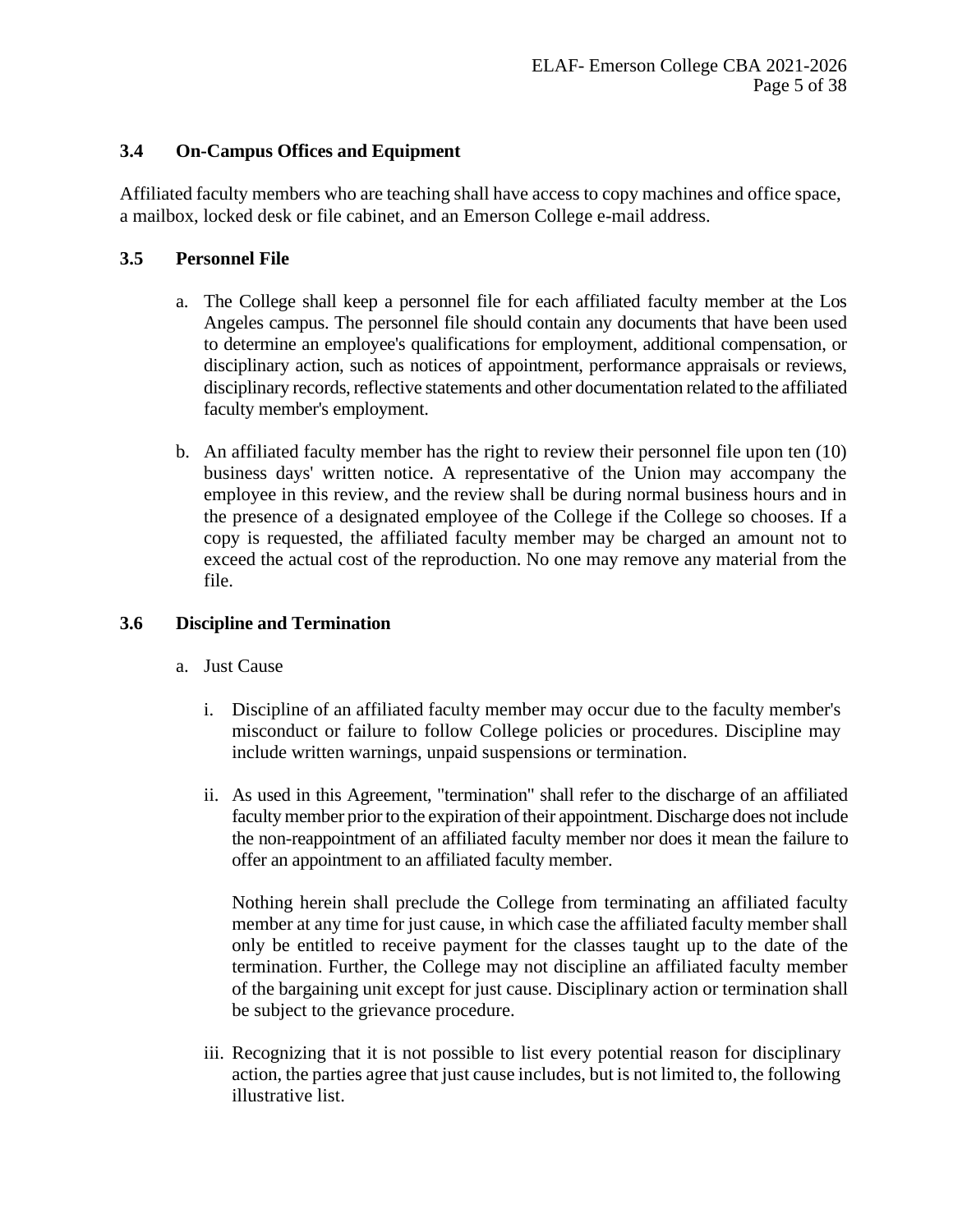# **3.4 On-Campus Offices and Equipment**

Affiliated faculty members who are teaching shall have access to copy machines and office space, a mailbox, locked desk or file cabinet, and an Emerson College e-mail address.

# **3.5 Personnel File**

- a. The College shall keep a personnel file for each affiliated faculty member at the Los Angeles campus. The personnel file should contain any documents that have been used to determine an employee's qualifications for employment, additional compensation, or disciplinary action, such as notices of appointment, performance appraisals or reviews, disciplinary records, reflective statements and other documentation related to the affiliated faculty member's employment.
- b. An affiliated faculty member has the right to review their personnel file upon ten (10) business days' written notice. A representative of the Union may accompany the employee in this review, and the review shall be during normal business hours and in the presence of a designated employee of the College if the College so chooses. If a copy is requested, the affiliated faculty member may be charged an amount not to exceed the actual cost of the reproduction. No one may remove any material from the file.

# **3.6 Discipline and Termination**

- a. Just Cause
	- i. Discipline of an affiliated faculty member may occur due to the faculty member's misconduct or failure to follow College policies or procedures. Discipline may include written warnings, unpaid suspensions or termination.
	- ii. As used in this Agreement, "termination" shall refer to the discharge of an affiliated faculty member prior to the expiration of their appointment. Discharge does not include the non-reappointment of an affiliated faculty member nor does it mean the failure to offer an appointment to an affiliated faculty member.

Nothing herein shall preclude the College from terminating an affiliated faculty member at any time for just cause, in which case the affiliated faculty member shall only be entitled to receive payment for the classes taught up to the date of the termination. Further, the College may not discipline an affiliated faculty member of the bargaining unit except for just cause. Disciplinary action or termination shall be subject to the grievance procedure.

iii. Recognizing that it is not possible to list every potential reason for disciplinary action, the parties agree that just cause includes, but is not limited to, the following illustrative list.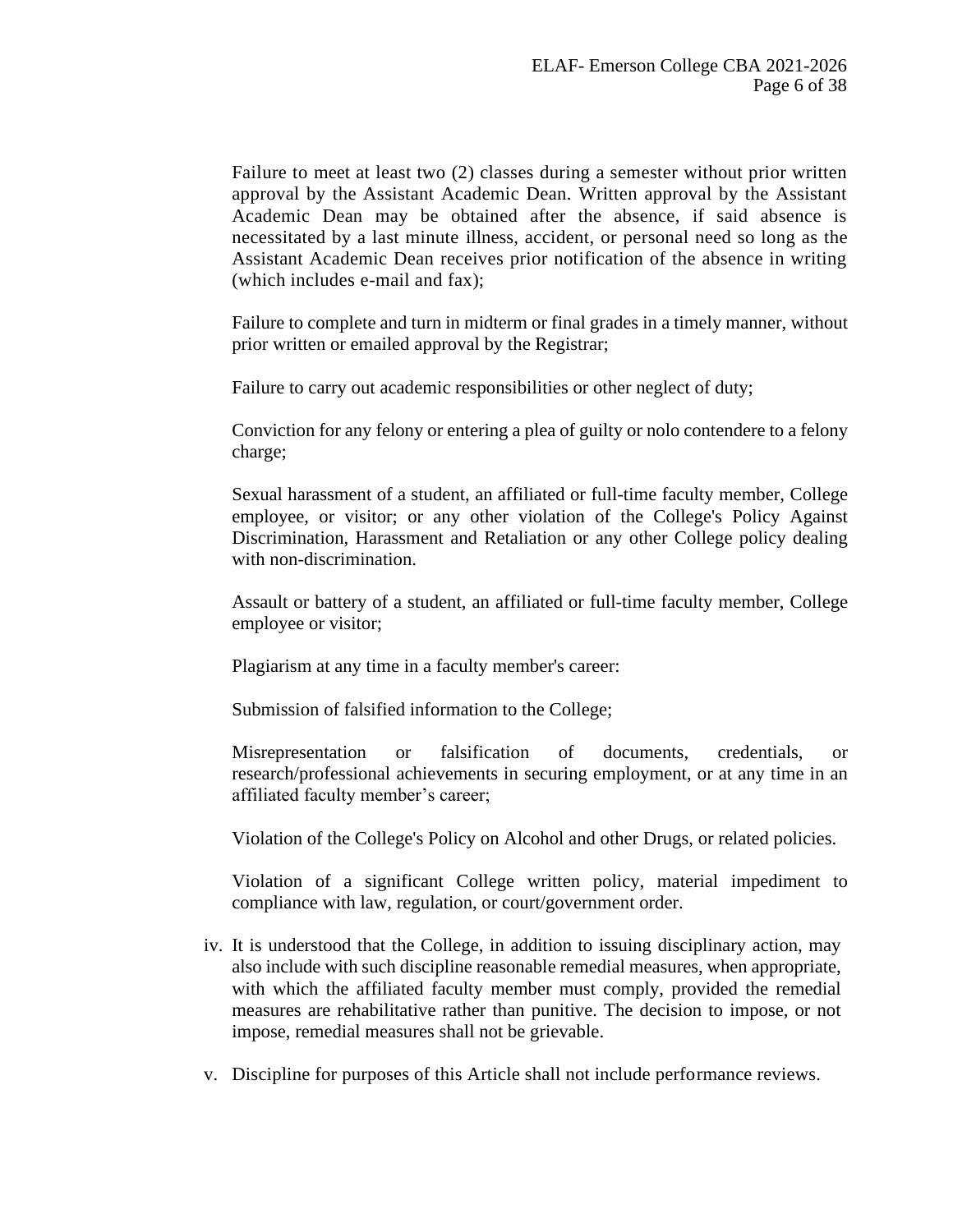Failure to meet at least two (2) classes during a semester without prior written approval by the Assistant Academic Dean. Written approval by the Assistant Academic Dean may be obtained after the absence, if said absence is necessitated by a last minute illness, accident, or personal need so long as the Assistant Academic Dean receives prior notification of the absence in writing (which includes e-mail and fax);

Failure to complete and turn in midterm or final grades in a timely manner, without prior written or emailed approval by the Registrar;

Failure to carry out academic responsibilities or other neglect of duty;

Conviction for any felony or entering a plea of guilty or nolo contendere to a felony charge;

Sexual harassment of a student, an affiliated or full-time faculty member, College employee, or visitor; or any other violation of the College's Policy Against Discrimination, Harassment and Retaliation or any other College policy dealing with non-discrimination.

Assault or battery of a student, an affiliated or full-time faculty member, College employee or visitor;

Plagiarism at any time in a faculty member's career:

Submission of falsified information to the College;

Misrepresentation or falsification of documents, credentials, or research/professional achievements in securing employment, or at any time in an affiliated faculty member's career;

Violation of the College's Policy on Alcohol and other Drugs, or related policies.

Violation of a significant College written policy, material impediment to compliance with law, regulation, or court/government order.

- iv. It is understood that the College, in addition to issuing disciplinary action, may also include with such discipline reasonable remedial measures, when appropriate, with which the affiliated faculty member must comply, provided the remedial measures are rehabilitative rather than punitive. The decision to impose, or not impose, remedial measures shall not be grievable.
- v. Discipline for purposes of this Article shall not include performance reviews.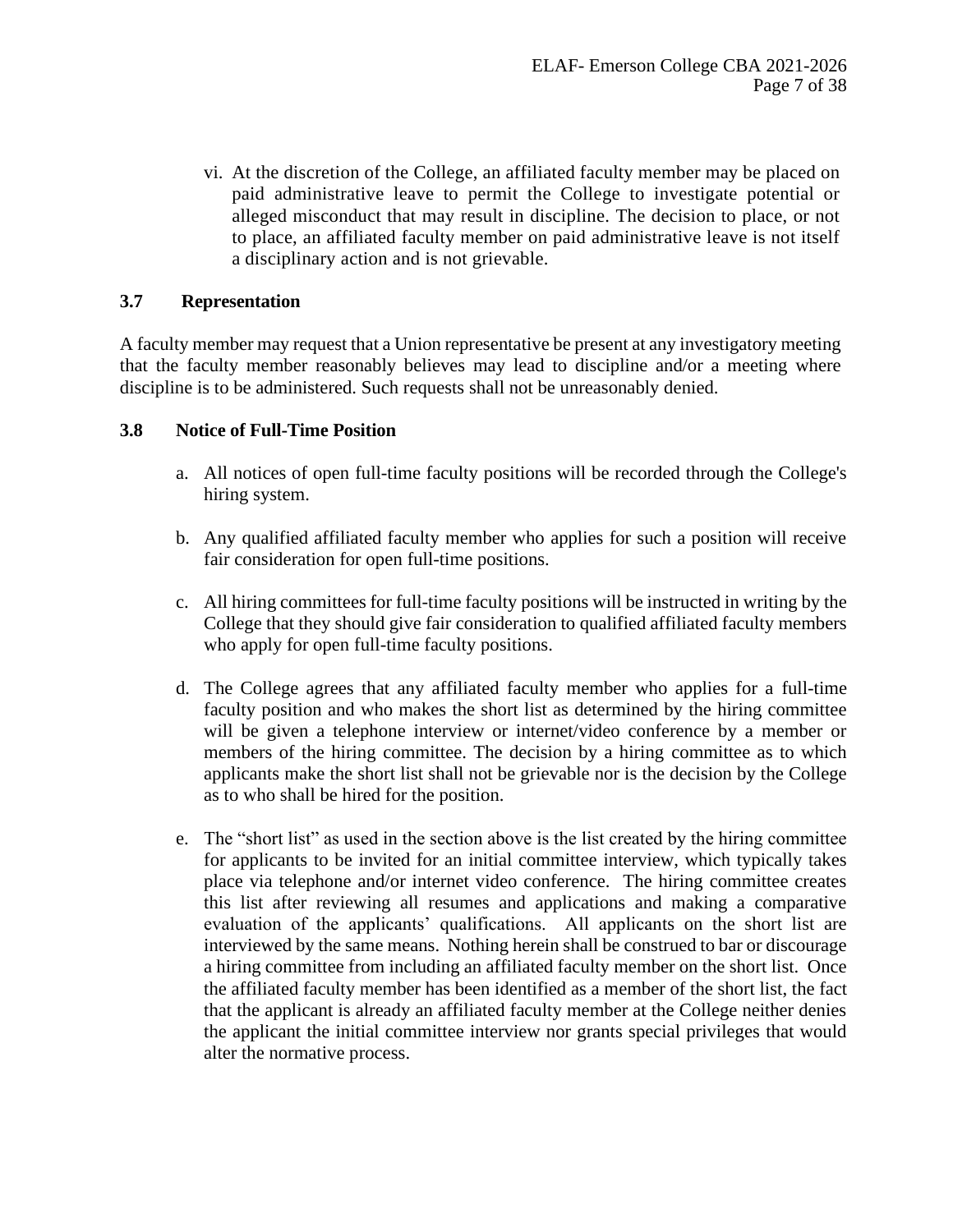vi. At the discretion of the College, an affiliated faculty member may be placed on paid administrative leave to permit the College to investigate potential or alleged misconduct that may result in discipline. The decision to place, or not to place, an affiliated faculty member on paid administrative leave is not itself a disciplinary action and is not grievable.

# **3.7 Representation**

A faculty member may request that a Union representative be present at any investigatory meeting that the faculty member reasonably believes may lead to discipline and/or a meeting where discipline is to be administered. Such requests shall not be unreasonably denied.

#### **3.8 Notice of Full-Time Position**

- a. All notices of open full-time faculty positions will be recorded through the College's hiring system.
- b. Any qualified affiliated faculty member who applies for such a position will receive fair consideration for open full-time positions.
- c. All hiring committees for full-time faculty positions will be instructed in writing by the College that they should give fair consideration to qualified affiliated faculty members who apply for open full-time faculty positions.
- d. The College agrees that any affiliated faculty member who applies for a full-time faculty position and who makes the short list as determined by the hiring committee will be given a telephone interview or internet/video conference by a member or members of the hiring committee. The decision by a hiring committee as to which applicants make the short list shall not be grievable nor is the decision by the College as to who shall be hired for the position.
- e. The "short list" as used in the section above is the list created by the hiring committee for applicants to be invited for an initial committee interview, which typically takes place via telephone and/or internet video conference. The hiring committee creates this list after reviewing all resumes and applications and making a comparative evaluation of the applicants' qualifications. All applicants on the short list are interviewed by the same means. Nothing herein shall be construed to bar or discourage a hiring committee from including an affiliated faculty member on the short list. Once the affiliated faculty member has been identified as a member of the short list, the fact that the applicant is already an affiliated faculty member at the College neither denies the applicant the initial committee interview nor grants special privileges that would alter the normative process.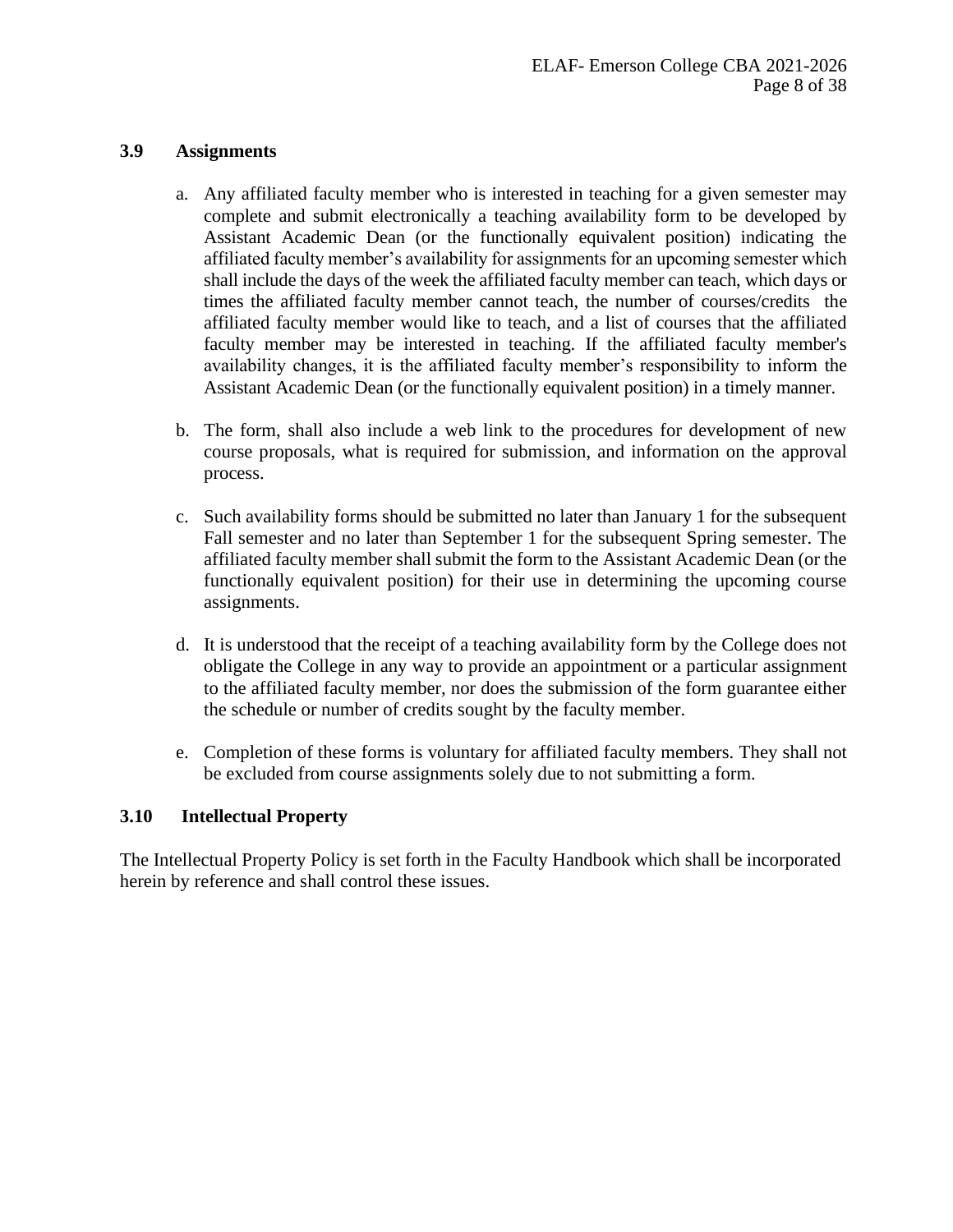#### **3.9 Assignments**

- a. Any affiliated faculty member who is interested in teaching for a given semester may complete and submit electronically a teaching availability form to be developed by Assistant Academic Dean (or the functionally equivalent position) indicating the affiliated faculty member's availability for assignments for an upcoming semester which shall include the days of the week the affiliated faculty member can teach, which days or times the affiliated faculty member cannot teach, the number of courses/credits the affiliated faculty member would like to teach, and a list of courses that the affiliated faculty member may be interested in teaching. If the affiliated faculty member's availability changes, it is the affiliated faculty member's responsibility to inform the Assistant Academic Dean (or the functionally equivalent position) in a timely manner.
- b. The form, shall also include a web link to the procedures for development of new course proposals, what is required for submission, and information on the approval process.
- c. Such availability forms should be submitted no later than January 1 for the subsequent Fall semester and no later than September 1 for the subsequent Spring semester. The affiliated faculty member shall submit the form to the Assistant Academic Dean (or the functionally equivalent position) for their use in determining the upcoming course assignments.
- d. It is understood that the receipt of a teaching availability form by the College does not obligate the College in any way to provide an appointment or a particular assignment to the affiliated faculty member, nor does the submission of the form guarantee either the schedule or number of credits sought by the faculty member.
- e. Completion of these forms is voluntary for affiliated faculty members. They shall not be excluded from course assignments solely due to not submitting a form.

# **3.10 Intellectual Property**

The Intellectual Property Policy is set forth in the Faculty Handbook which shall be incorporated herein by reference and shall control these issues.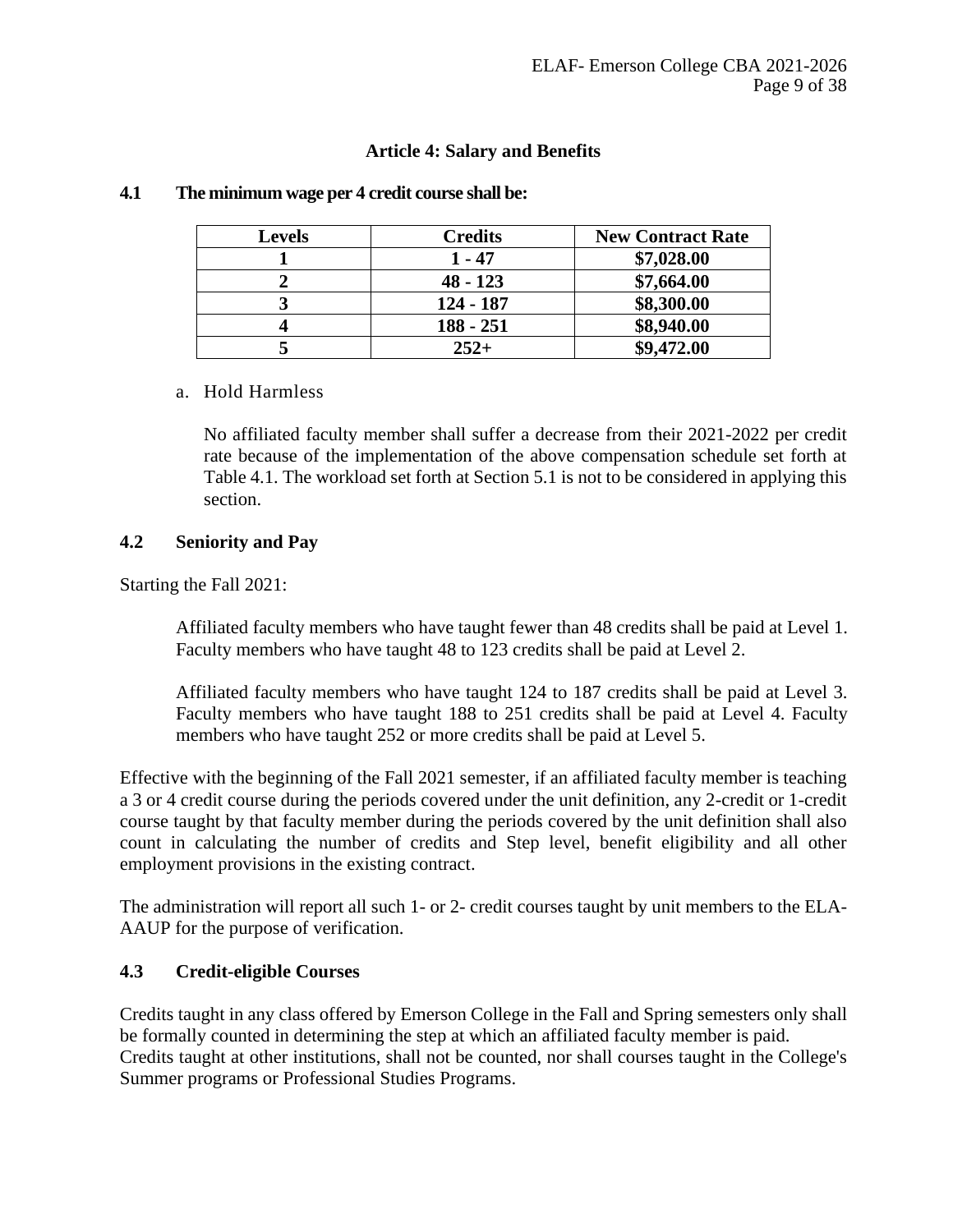#### **Article 4: Salary and Benefits**

| <b>Levels</b> | <b>Credits</b> | <b>New Contract Rate</b> |
|---------------|----------------|--------------------------|
|               | 1 - 47         | \$7,028.00               |
|               | $48 - 123$     | \$7,664.00               |
|               | $124 - 187$    | \$8,300.00               |
|               | $188 - 251$    | \$8,940.00               |
|               | $252+$         | \$9,472.00               |

#### <span id="page-8-0"></span>**4.1 The minimum wage per 4 credit course shall be:**

#### a. Hold Harmless

No affiliated faculty member shall suffer a decrease from their 2021-2022 per credit rate because of the implementation of the above compensation schedule set forth at Table 4.1. The workload set forth at Section 5.1 is not to be considered in applying this section.

#### **4.2 Seniority and Pay**

Starting the Fall 2021:

Affiliated faculty members who have taught fewer than 48 credits shall be paid at Level 1. Faculty members who have taught 48 to 123 credits shall be paid at Level 2.

Affiliated faculty members who have taught 124 to 187 credits shall be paid at Level 3. Faculty members who have taught 188 to 251 credits shall be paid at Level 4. Faculty members who have taught 252 or more credits shall be paid at Level 5.

Effective with the beginning of the Fall 2021 semester, if an affiliated faculty member is teaching a 3 or 4 credit course during the periods covered under the unit definition, any 2-credit or 1-credit course taught by that faculty member during the periods covered by the unit definition shall also count in calculating the number of credits and Step level, benefit eligibility and all other employment provisions in the existing contract.

The administration will report all such 1- or 2- credit courses taught by unit members to the ELA-AAUP for the purpose of verification.

#### **4.3 Credit-eligible Courses**

Credits taught in any class offered by Emerson College in the Fall and Spring semesters only shall be formally counted in determining the step at which an affiliated faculty member is paid. Credits taught at other institutions, shall not be counted, nor shall courses taught in the College's Summer programs or Professional Studies Programs.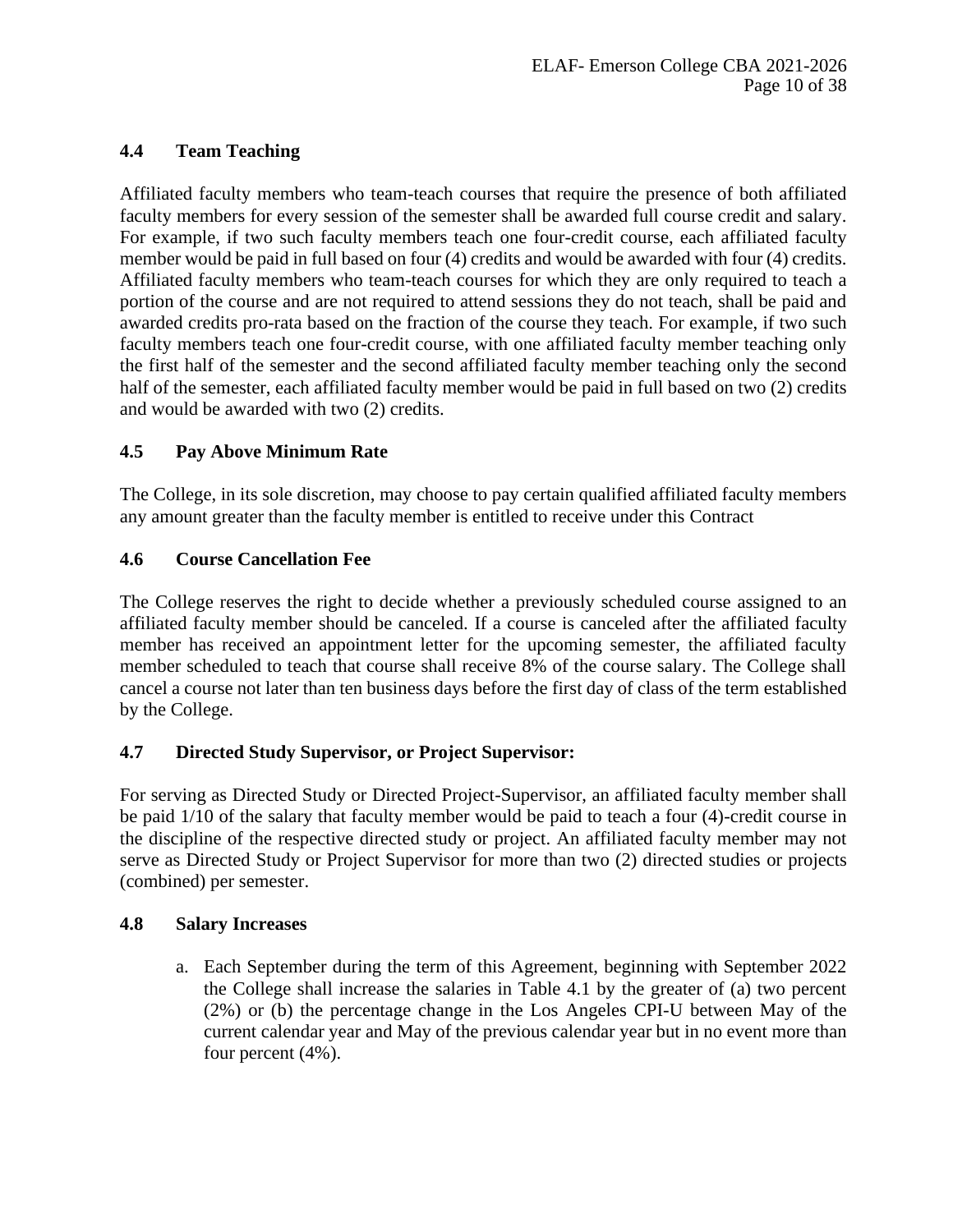# **4.4 Team Teaching**

Affiliated faculty members who team-teach courses that require the presence of both affiliated faculty members for every session of the semester shall be awarded full course credit and salary. For example, if two such faculty members teach one four-credit course, each affiliated faculty member would be paid in full based on four (4) credits and would be awarded with four (4) credits. Affiliated faculty members who team-teach courses for which they are only required to teach a portion of the course and are not required to attend sessions they do not teach, shall be paid and awarded credits pro-rata based on the fraction of the course they teach. For example, if two such faculty members teach one four-credit course, with one affiliated faculty member teaching only the first half of the semester and the second affiliated faculty member teaching only the second half of the semester, each affiliated faculty member would be paid in full based on two (2) credits and would be awarded with two (2) credits.

# **4.5 Pay Above Minimum Rate**

The College, in its sole discretion, may choose to pay certain qualified affiliated faculty members any amount greater than the faculty member is entitled to receive under this Contract

# **4.6 Course Cancellation Fee**

The College reserves the right to decide whether a previously scheduled course assigned to an affiliated faculty member should be canceled. If a course is canceled after the affiliated faculty member has received an appointment letter for the upcoming semester, the affiliated faculty member scheduled to teach that course shall receive 8% of the course salary. The College shall cancel a course not later than ten business days before the first day of class of the term established by the College.

# **4.7 Directed Study Supervisor, or Project Supervisor:**

For serving as Directed Study or Directed Project-Supervisor, an affiliated faculty member shall be paid 1/10 of the salary that faculty member would be paid to teach a four (4)-credit course in the discipline of the respective directed study or project. An affiliated faculty member may not serve as Directed Study or Project Supervisor for more than two (2) directed studies or projects (combined) per semester.

# **4.8 Salary Increases**

a. Each September during the term of this Agreement, beginning with September 2022 the College shall increase the salaries in Table 4.1 by the greater of (a) two percent (2%) or (b) the percentage change in the Los Angeles CPI-U between May of the current calendar year and May of the previous calendar year but in no event more than four percent (4%).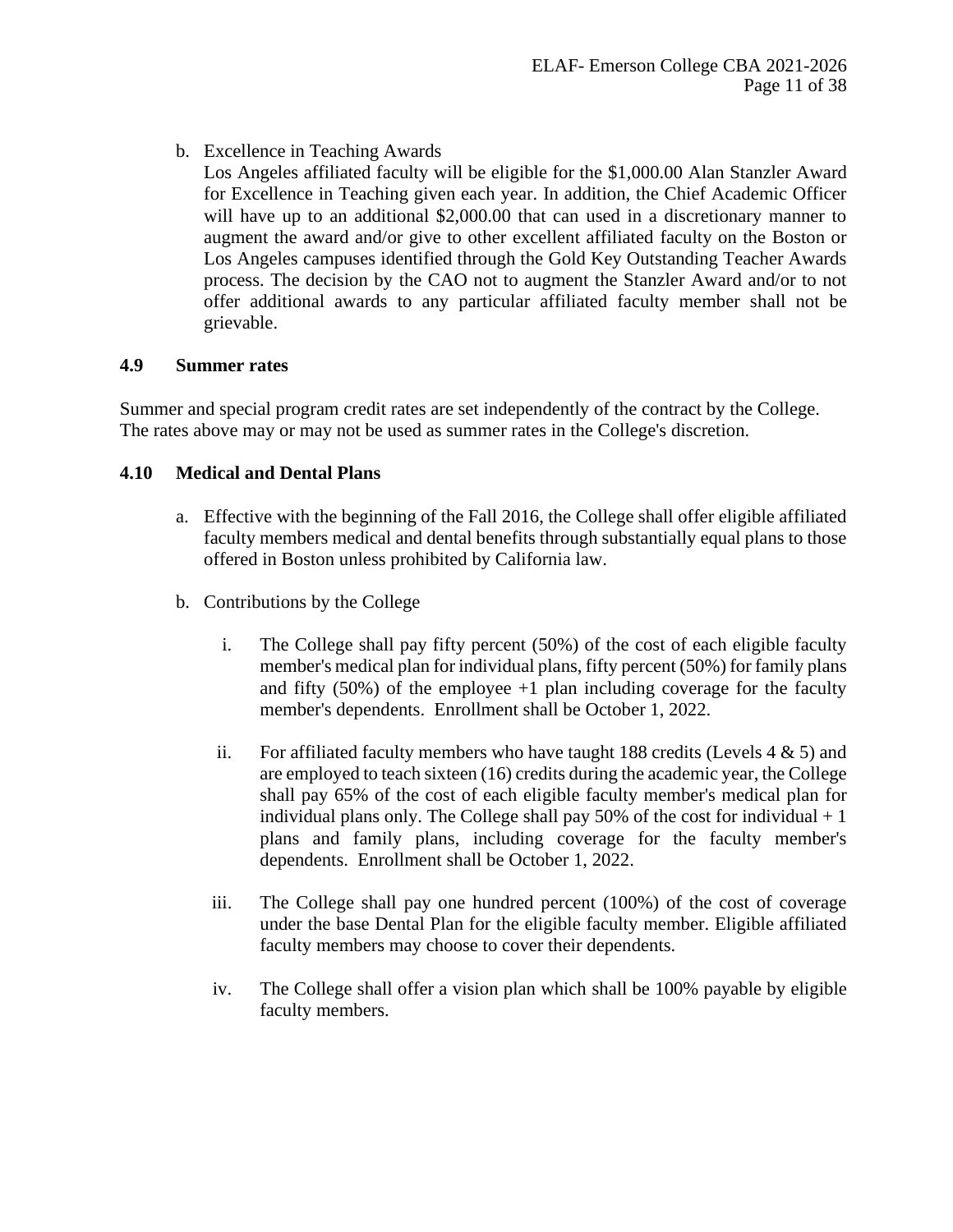b. Excellence in Teaching Awards

Los Angeles affiliated faculty will be eligible for the \$1,000.00 Alan Stanzler Award for Excellence in Teaching given each year. In addition, the Chief Academic Officer will have up to an additional \$2,000.00 that can used in a discretionary manner to augment the award and/or give to other excellent affiliated faculty on the Boston or Los Angeles campuses identified through the Gold Key Outstanding Teacher Awards process. The decision by the CAO not to augment the Stanzler Award and/or to not offer additional awards to any particular affiliated faculty member shall not be grievable.

# **4.9 Summer rates**

Summer and special program credit rates are set independently of the contract by the College. The rates above may or may not be used as summer rates in the College's discretion.

# **4.10 Medical and Dental Plans**

- a. Effective with the beginning of the Fall 2016, the College shall offer eligible affiliated faculty members medical and dental benefits through substantially equal plans to those offered in Boston unless prohibited by California law.
- b. Contributions by the College
	- i. The College shall pay fifty percent (50%) of the cost of each eligible faculty member's medical plan for individual plans, fifty percent (50%) for family plans and fifty  $(50\%)$  of the employee  $+1$  plan including coverage for the faculty member's dependents. Enrollment shall be October 1, 2022.
	- ii. For affiliated faculty members who have taught 188 credits (Levels  $4 \& 5$ ) and are employed to teach sixteen (16) credits during the academic year, the College shall pay 65% of the cost of each eligible faculty member's medical plan for individual plans only. The College shall pay 50% of the cost for individual  $+1$ plans and family plans, including coverage for the faculty member's dependents. Enrollment shall be October 1, 2022.
	- iii. The College shall pay one hundred percent (100%) of the cost of coverage under the base Dental Plan for the eligible faculty member. Eligible affiliated faculty members may choose to cover their dependents.
	- iv. The College shall offer a vision plan which shall be 100% payable by eligible faculty members.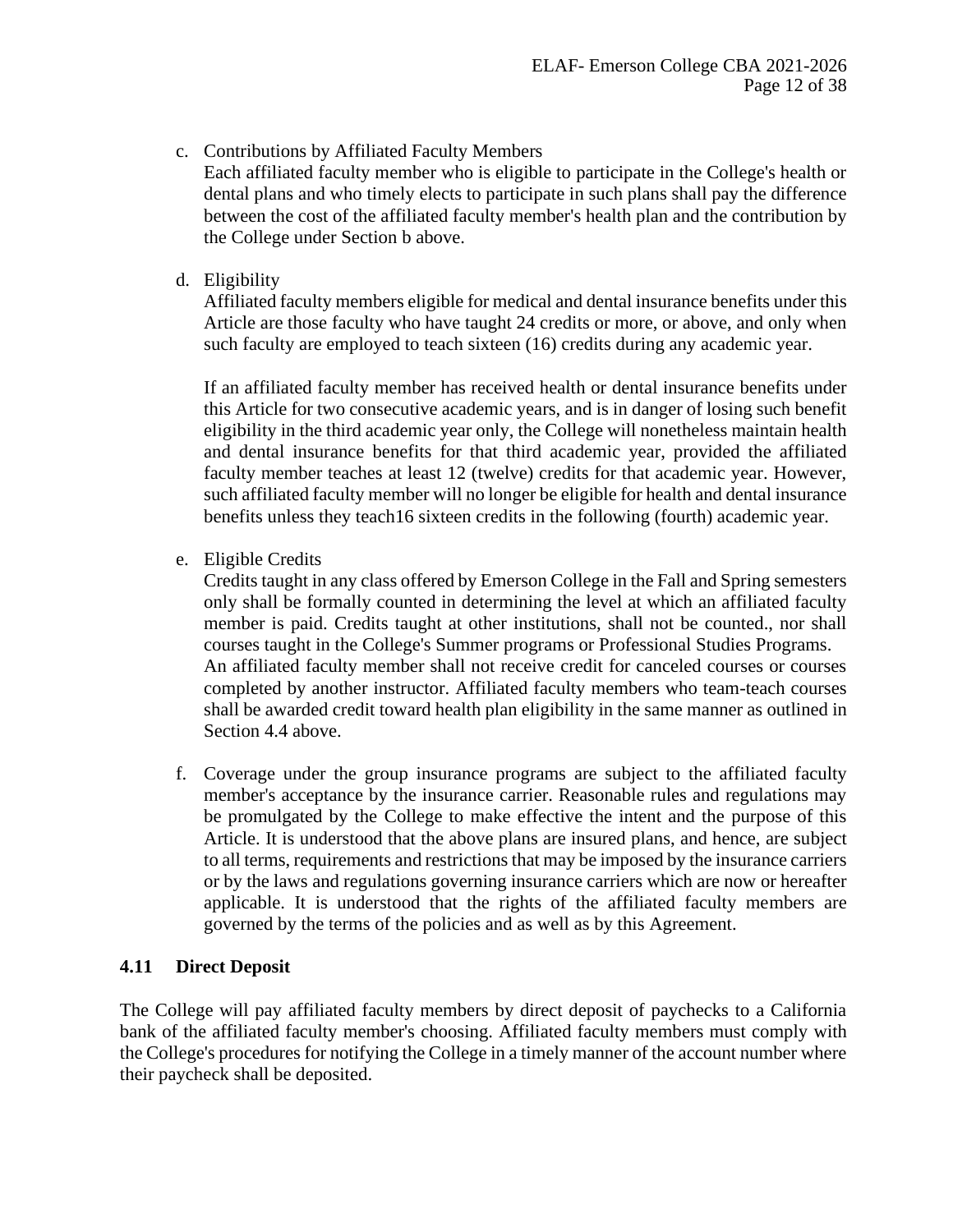c. Contributions by Affiliated Faculty Members

Each affiliated faculty member who is eligible to participate in the College's health or dental plans and who timely elects to participate in such plans shall pay the difference between the cost of the affiliated faculty member's health plan and the contribution by the College under Section b above.

d. Eligibility

Affiliated faculty members eligible for medical and dental insurance benefits under this Article are those faculty who have taught 24 credits or more, or above, and only when such faculty are employed to teach sixteen (16) credits during any academic year.

If an affiliated faculty member has received health or dental insurance benefits under this Article for two consecutive academic years, and is in danger of losing such benefit eligibility in the third academic year only, the College will nonetheless maintain health and dental insurance benefits for that third academic year, provided the affiliated faculty member teaches at least 12 (twelve) credits for that academic year. However, such affiliated faculty member will no longer be eligible for health and dental insurance benefits unless they teach16 sixteen credits in the following (fourth) academic year.

e. Eligible Credits

Credits taught in any class offered by Emerson College in the Fall and Spring semesters only shall be formally counted in determining the level at which an affiliated faculty member is paid. Credits taught at other institutions, shall not be counted., nor shall courses taught in the College's Summer programs or Professional Studies Programs. An affiliated faculty member shall not receive credit for canceled courses or courses completed by another instructor. Affiliated faculty members who team-teach courses shall be awarded credit toward health plan eligibility in the same manner as outlined in Section 4.4 above.

f. Coverage under the group insurance programs are subject to the affiliated faculty member's acceptance by the insurance carrier. Reasonable rules and regulations may be promulgated by the College to make effective the intent and the purpose of this Article. It is understood that the above plans are insured plans, and hence, are subject to all terms, requirements and restrictions that may be imposed by the insurance carriers or by the laws and regulations governing insurance carriers which are now or hereafter applicable. It is understood that the rights of the affiliated faculty members are governed by the terms of the policies and as well as by this Agreement.

# **4.11 Direct Deposit**

The College will pay affiliated faculty members by direct deposit of paychecks to a California bank of the affiliated faculty member's choosing. Affiliated faculty members must comply with the College's procedures for notifying the College in a timely manner of the account number where their paycheck shall be deposited.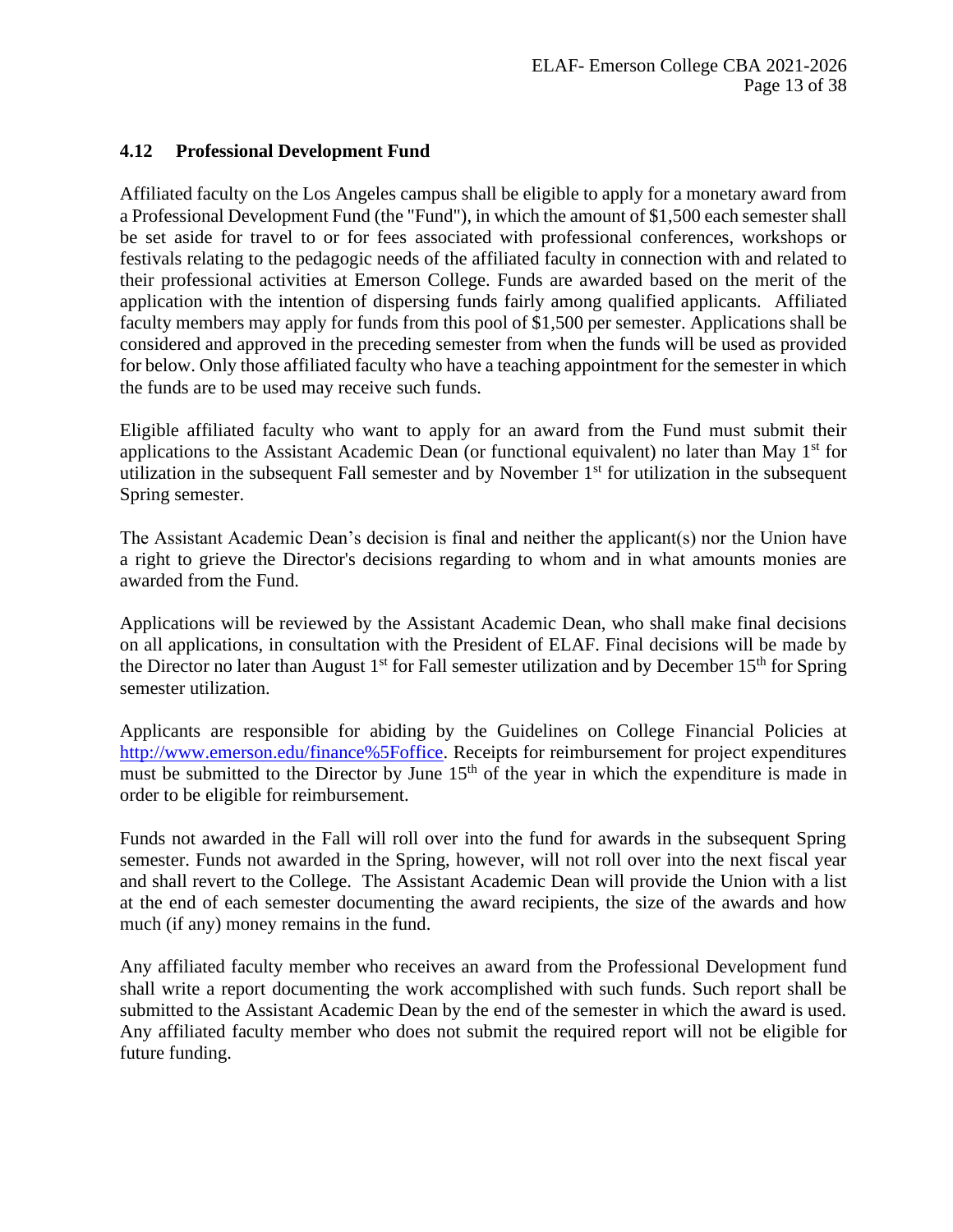# **4.12 Professional Development Fund**

Affiliated faculty on the Los Angeles campus shall be eligible to apply for a monetary award from a Professional Development Fund (the "Fund"), in which the amount of \$1,500 each semester shall be set aside for travel to or for fees associated with professional conferences, workshops or festivals relating to the pedagogic needs of the affiliated faculty in connection with and related to their professional activities at Emerson College. Funds are awarded based on the merit of the application with the intention of dispersing funds fairly among qualified applicants. Affiliated faculty members may apply for funds from this pool of \$1,500 per semester. Applications shall be considered and approved in the preceding semester from when the funds will be used as provided for below. Only those affiliated faculty who have a teaching appointment for the semester in which the funds are to be used may receive such funds.

Eligible affiliated faculty who want to apply for an award from the Fund must submit their applications to the Assistant Academic Dean (or functional equivalent) no later than May  $1<sup>st</sup>$  for utilization in the subsequent Fall semester and by November  $1<sup>st</sup>$  for utilization in the subsequent Spring semester.

The Assistant Academic Dean's decision is final and neither the applicant(s) nor the Union have a right to grieve the Director's decisions regarding to whom and in what amounts monies are awarded from the Fund.

Applications will be reviewed by the Assistant Academic Dean, who shall make final decisions on all applications, in consultation with the President of ELAF. Final decisions will be made by the Director no later than August 1<sup>st</sup> for Fall semester utilization and by December 15<sup>th</sup> for Spring semester utilization.

Applicants are responsible for abiding by the Guidelines on College Financial Policies at [http://www.emerson.edu/finance%5Foffice.](http://www.emerson.edu/finance_office) Receipts for reimbursement for project expenditures must be submitted to the Director by June  $15<sup>th</sup>$  of the year in which the expenditure is made in order to be eligible for reimbursement.

Funds not awarded in the Fall will roll over into the fund for awards in the subsequent Spring semester. Funds not awarded in the Spring, however, will not roll over into the next fiscal year and shall revert to the College. The Assistant Academic Dean will provide the Union with a list at the end of each semester documenting the award recipients, the size of the awards and how much (if any) money remains in the fund.

Any affiliated faculty member who receives an award from the Professional Development fund shall write a report documenting the work accomplished with such funds. Such report shall be submitted to the Assistant Academic Dean by the end of the semester in which the award is used. Any affiliated faculty member who does not submit the required report will not be eligible for future funding.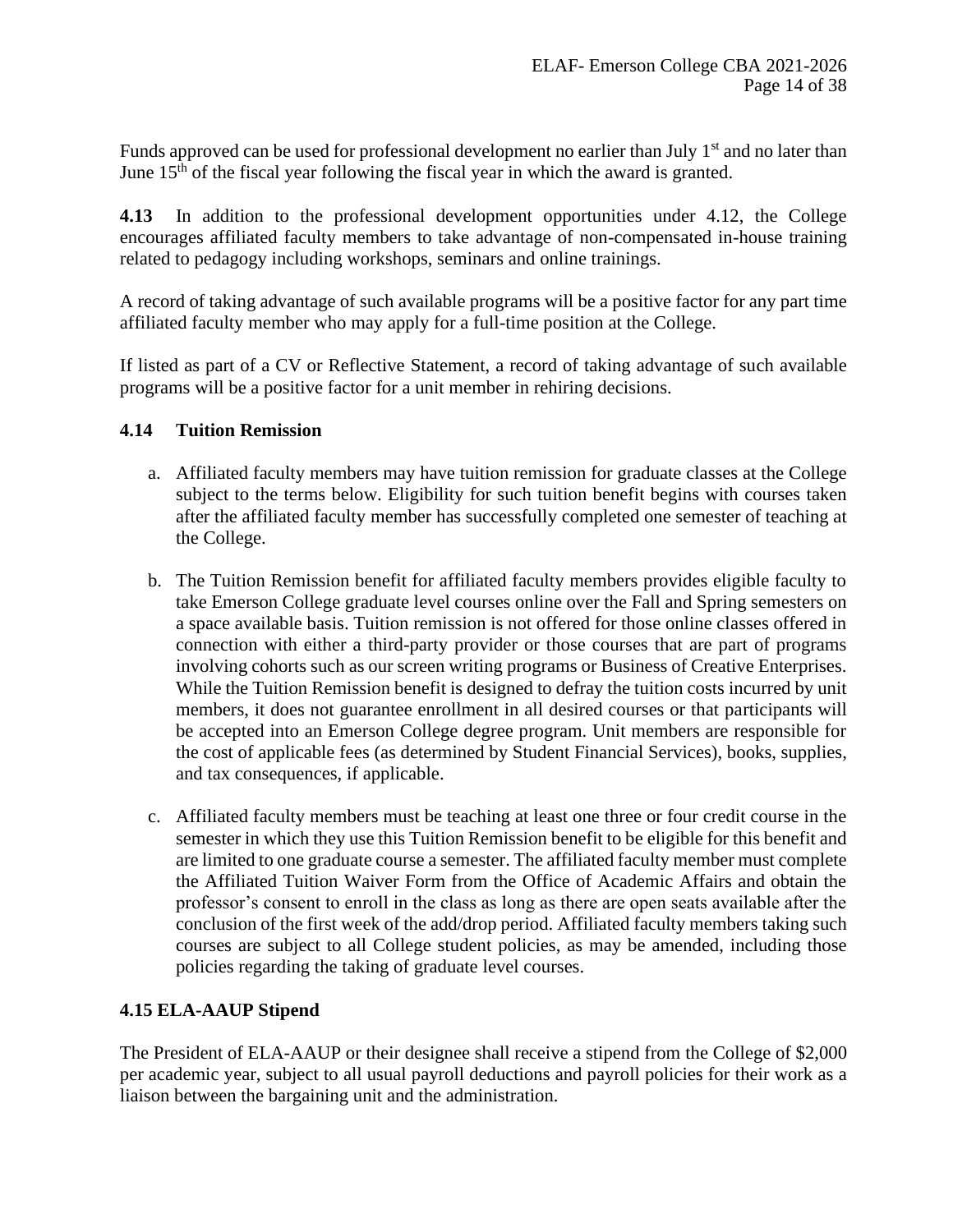Funds approved can be used for professional development no earlier than July  $1<sup>st</sup>$  and no later than June  $15<sup>th</sup>$  of the fiscal year following the fiscal year in which the award is granted.

**4.13** In addition to the professional development opportunities under 4.12, the College encourages affiliated faculty members to take advantage of non-compensated in-house training related to pedagogy including workshops, seminars and online trainings.

A record of taking advantage of such available programs will be a positive factor for any part time affiliated faculty member who may apply for a full-time position at the College.

If listed as part of a CV or Reflective Statement, a record of taking advantage of such available programs will be a positive factor for a unit member in rehiring decisions.

#### **4.14 Tuition Remission**

- a. Affiliated faculty members may have tuition remission for graduate classes at the College subject to the terms below. Eligibility for such tuition benefit begins with courses taken after the affiliated faculty member has successfully completed one semester of teaching at the College.
- b. The Tuition Remission benefit for affiliated faculty members provides eligible faculty to take Emerson College graduate level courses online over the Fall and Spring semesters on a space available basis. Tuition remission is not offered for those online classes offered in connection with either a third-party provider or those courses that are part of programs involving cohorts such as our screen writing programs or Business of Creative Enterprises. While the Tuition Remission benefit is designed to defray the tuition costs incurred by unit members, it does not guarantee enrollment in all desired courses or that participants will be accepted into an Emerson College degree program. Unit members are responsible for the cost of applicable fees (as determined by Student Financial Services), books, supplies, and tax consequences, if applicable.
- c. Affiliated faculty members must be teaching at least one three or four credit course in the semester in which they use this Tuition Remission benefit to be eligible for this benefit and are limited to one graduate course a semester. The affiliated faculty member must complete the Affiliated Tuition Waiver Form from the Office of Academic Affairs and obtain the professor's consent to enroll in the class as long as there are open seats available after the conclusion of the first week of the add/drop period. Affiliated faculty members taking such courses are subject to all College student policies, as may be amended, including those policies regarding the taking of graduate level courses.

# **4.15 ELA-AAUP Stipend**

The President of ELA-AAUP or their designee shall receive a stipend from the College of \$2,000 per academic year, subject to all usual payroll deductions and payroll policies for their work as a liaison between the bargaining unit and the administration.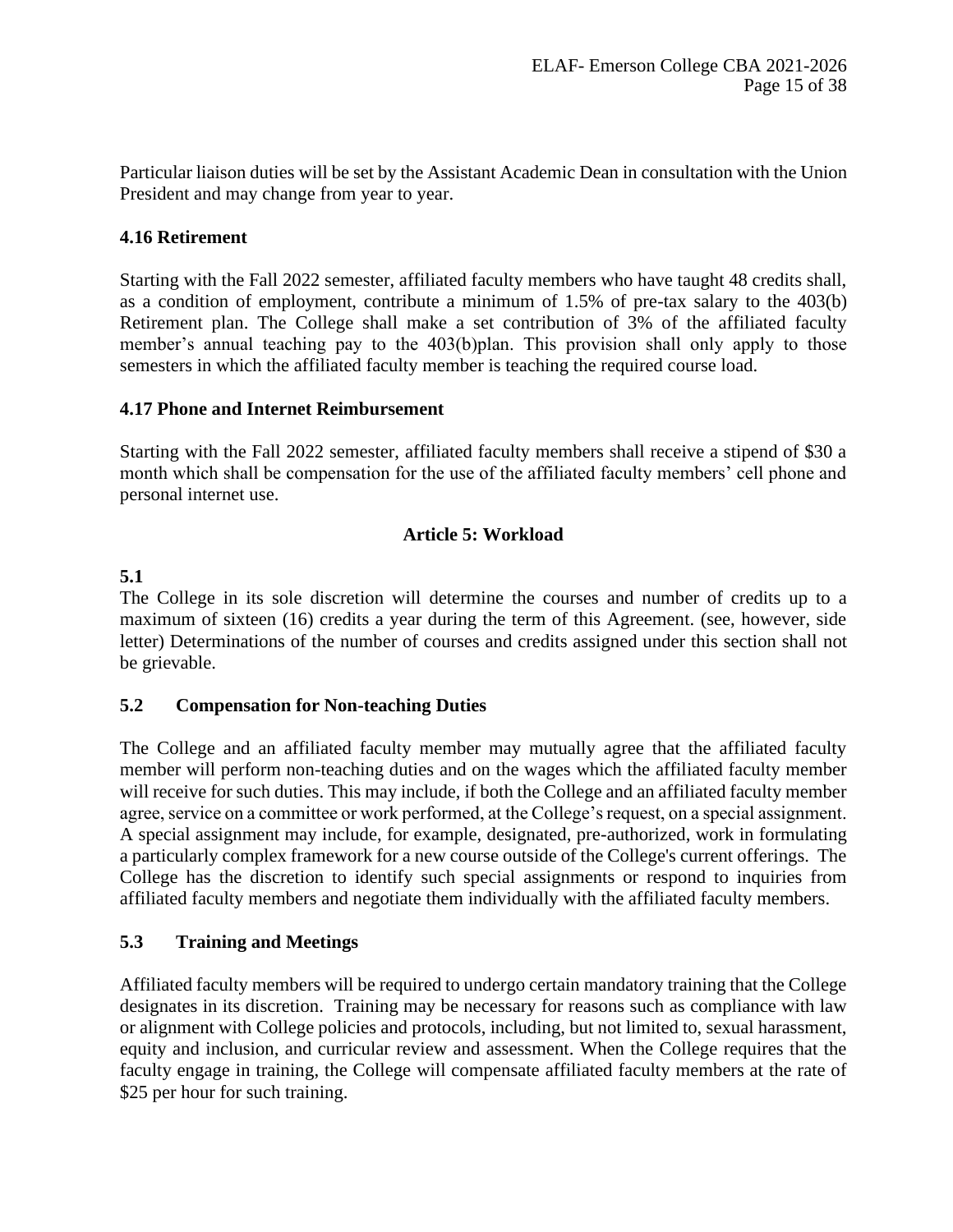Particular liaison duties will be set by the Assistant Academic Dean in consultation with the Union President and may change from year to year.

# **4.16 Retirement**

Starting with the Fall 2022 semester, affiliated faculty members who have taught 48 credits shall, as a condition of employment, contribute a minimum of 1.5% of pre-tax salary to the 403(b) Retirement plan. The College shall make a set contribution of 3% of the affiliated faculty member's annual teaching pay to the 403(b)plan. This provision shall only apply to those semesters in which the affiliated faculty member is teaching the required course load.

# **4.17 Phone and Internet Reimbursement**

Starting with the Fall 2022 semester, affiliated faculty members shall receive a stipend of \$30 a month which shall be compensation for the use of the affiliated faculty members' cell phone and personal internet use.

# **Article 5: Workload**

# <span id="page-14-0"></span>**5.1**

The College in its sole discretion will determine the courses and number of credits up to a maximum of sixteen (16) credits a year during the term of this Agreement. (see, however, side letter) Determinations of the number of courses and credits assigned under this section shall not be grievable.

# **5.2 Compensation for Non-teaching Duties**

The College and an affiliated faculty member may mutually agree that the affiliated faculty member will perform non-teaching duties and on the wages which the affiliated faculty member will receive for such duties. This may include, if both the College and an affiliated faculty member agree, service on a committee or work performed, at the College's request, on a special assignment. A special assignment may include, for example, designated, pre-authorized, work in formulating a particularly complex framework for a new course outside of the College's current offerings. The College has the discretion to identify such special assignments or respond to inquiries from affiliated faculty members and negotiate them individually with the affiliated faculty members.

# **5.3 Training and Meetings**

Affiliated faculty members will be required to undergo certain mandatory training that the College designates in its discretion. Training may be necessary for reasons such as compliance with law or alignment with College policies and protocols, including, but not limited to, sexual harassment, equity and inclusion, and curricular review and assessment. When the College requires that the faculty engage in training, the College will compensate affiliated faculty members at the rate of \$25 per hour for such training.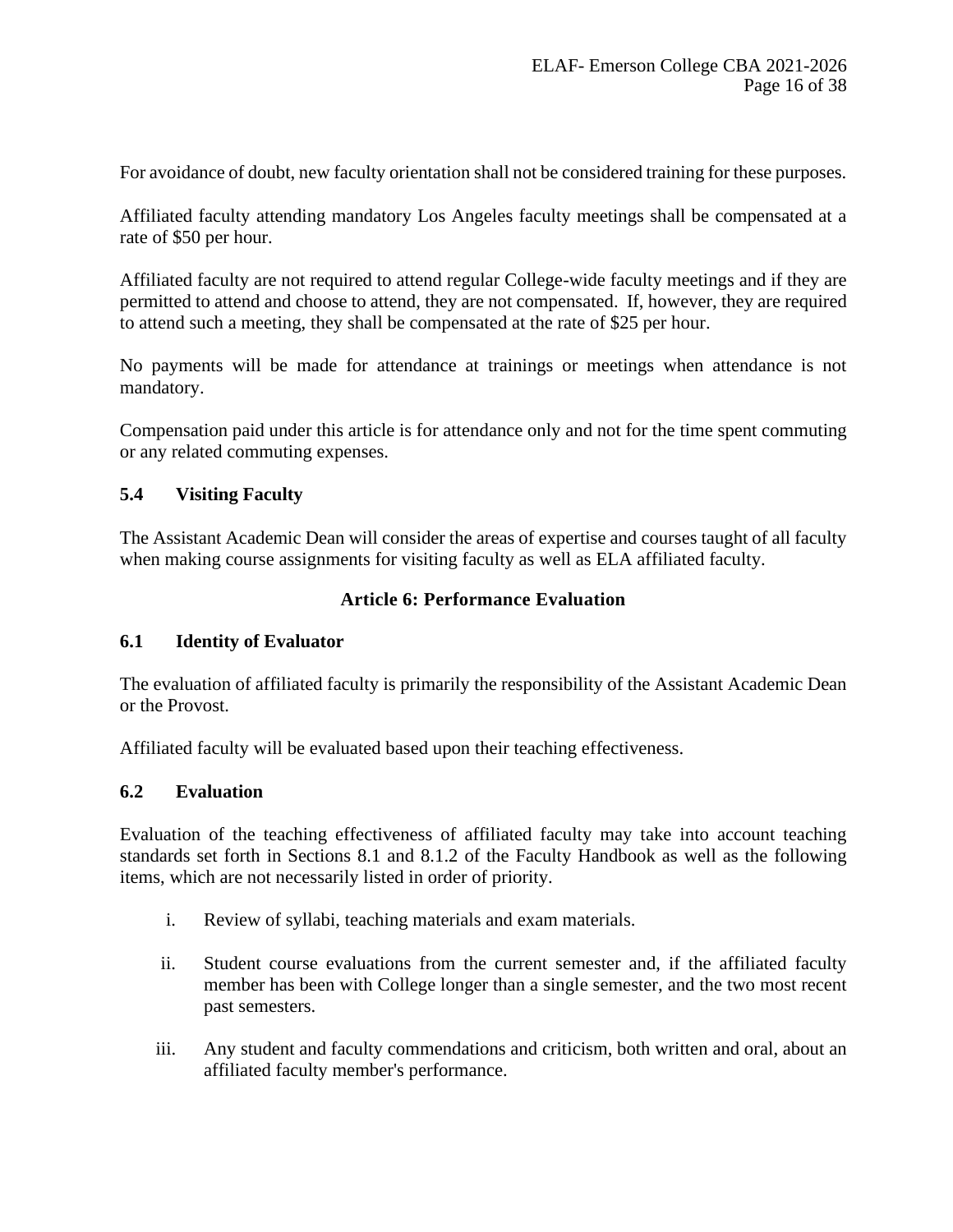For avoidance of doubt, new faculty orientation shall not be considered training for these purposes.

Affiliated faculty attending mandatory Los Angeles faculty meetings shall be compensated at a rate of \$50 per hour.

Affiliated faculty are not required to attend regular College-wide faculty meetings and if they are permitted to attend and choose to attend, they are not compensated. If, however, they are required to attend such a meeting, they shall be compensated at the rate of \$25 per hour.

No payments will be made for attendance at trainings or meetings when attendance is not mandatory.

Compensation paid under this article is for attendance only and not for the time spent commuting or any related commuting expenses.

# **5.4 Visiting Faculty**

<span id="page-15-0"></span>The Assistant Academic Dean will consider the areas of expertise and courses taught of all faculty when making course assignments for visiting faculty as well as ELA affiliated faculty.

# **Article 6: Performance Evaluation**

#### **6.1 Identity of Evaluator**

The evaluation of affiliated faculty is primarily the responsibility of the Assistant Academic Dean or the Provost.

Affiliated faculty will be evaluated based upon their teaching effectiveness.

#### **6.2 Evaluation**

Evaluation of the teaching effectiveness of affiliated faculty may take into account teaching standards set forth in Sections 8.1 and 8.1.2 of the Faculty Handbook as well as the following items, which are not necessarily listed in order of priority.

- i. Review of syllabi, teaching materials and exam materials.
- ii. Student course evaluations from the current semester and, if the affiliated faculty member has been with College longer than a single semester, and the two most recent past semesters.
- iii. Any student and faculty commendations and criticism, both written and oral, about an affiliated faculty member's performance.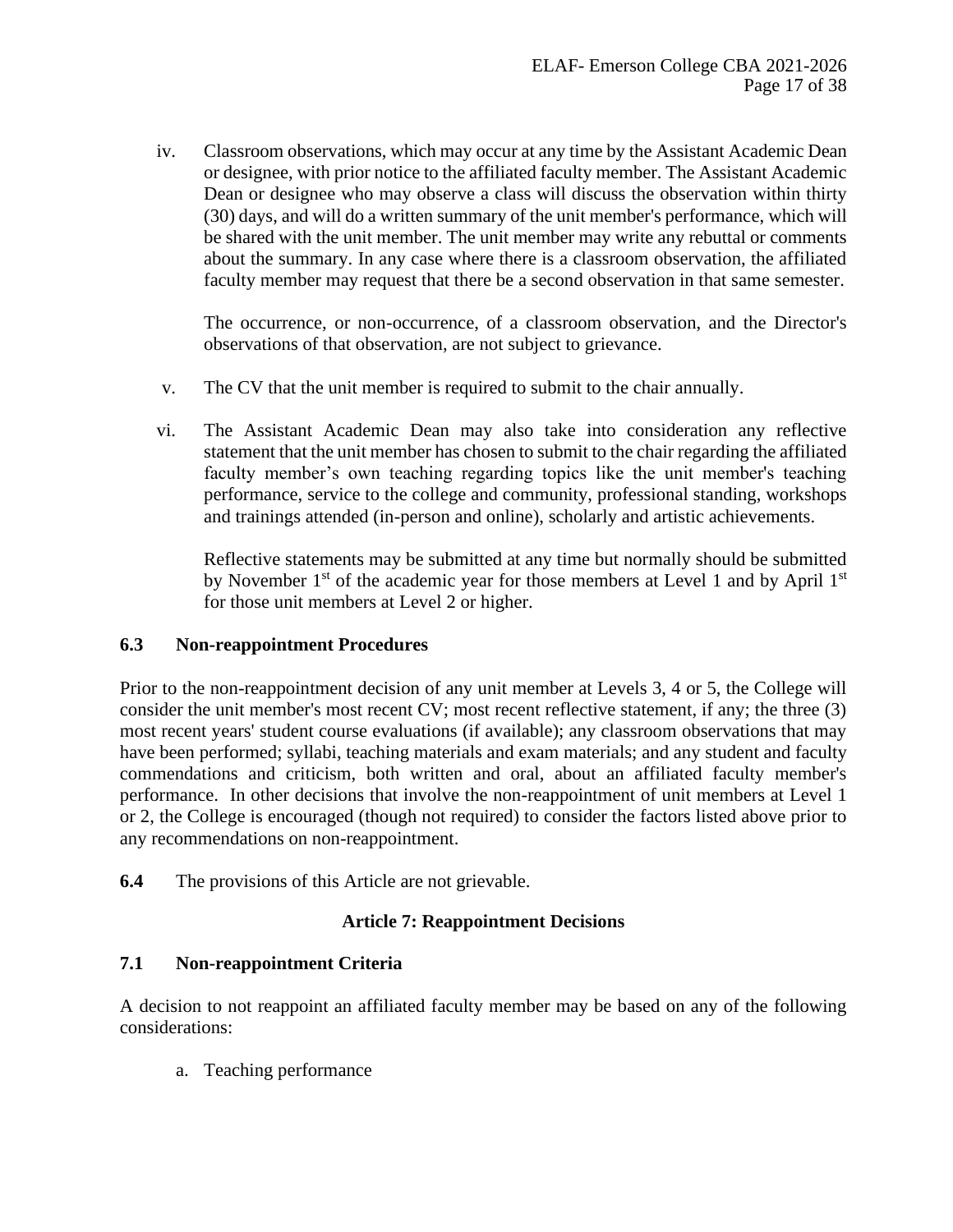iv. Classroom observations, which may occur at any time by the Assistant Academic Dean or designee, with prior notice to the affiliated faculty member. The Assistant Academic Dean or designee who may observe a class will discuss the observation within thirty (30) days, and will do a written summary of the unit member's performance, which will be shared with the unit member. The unit member may write any rebuttal or comments about the summary. In any case where there is a classroom observation, the affiliated faculty member may request that there be a second observation in that same semester.

The occurrence, or non-occurrence, of a classroom observation, and the Director's observations of that observation, are not subject to grievance.

- v. The CV that the unit member is required to submit to the chair annually.
- vi. The Assistant Academic Dean may also take into consideration any reflective statement that the unit member has chosen to submit to the chair regarding the affiliated faculty member's own teaching regarding topics like the unit member's teaching performance, service to the college and community, professional standing, workshops and trainings attended (in-person and online), scholarly and artistic achievements.

Reflective statements may be submitted at any time but normally should be submitted by November  $1<sup>st</sup>$  of the academic year for those members at Level 1 and by April  $1<sup>st</sup>$ for those unit members at Level 2 or higher.

#### **6.3 Non-reappointment Procedures**

Prior to the non-reappointment decision of any unit member at Levels 3, 4 or 5, the College will consider the unit member's most recent CV; most recent reflective statement, if any; the three (3) most recent years' student course evaluations (if available); any classroom observations that may have been performed; syllabi, teaching materials and exam materials; and any student and faculty commendations and criticism, both written and oral, about an affiliated faculty member's performance. In other decisions that involve the non-reappointment of unit members at Level 1 or 2, the College is encouraged (though not required) to consider the factors listed above prior to any recommendations on non-reappointment.

<span id="page-16-0"></span>**6.4** The provisions of this Article are not grievable.

#### **Article 7: Reappointment Decisions**

#### **7.1 Non-reappointment Criteria**

A decision to not reappoint an affiliated faculty member may be based on any of the following considerations:

a. Teaching performance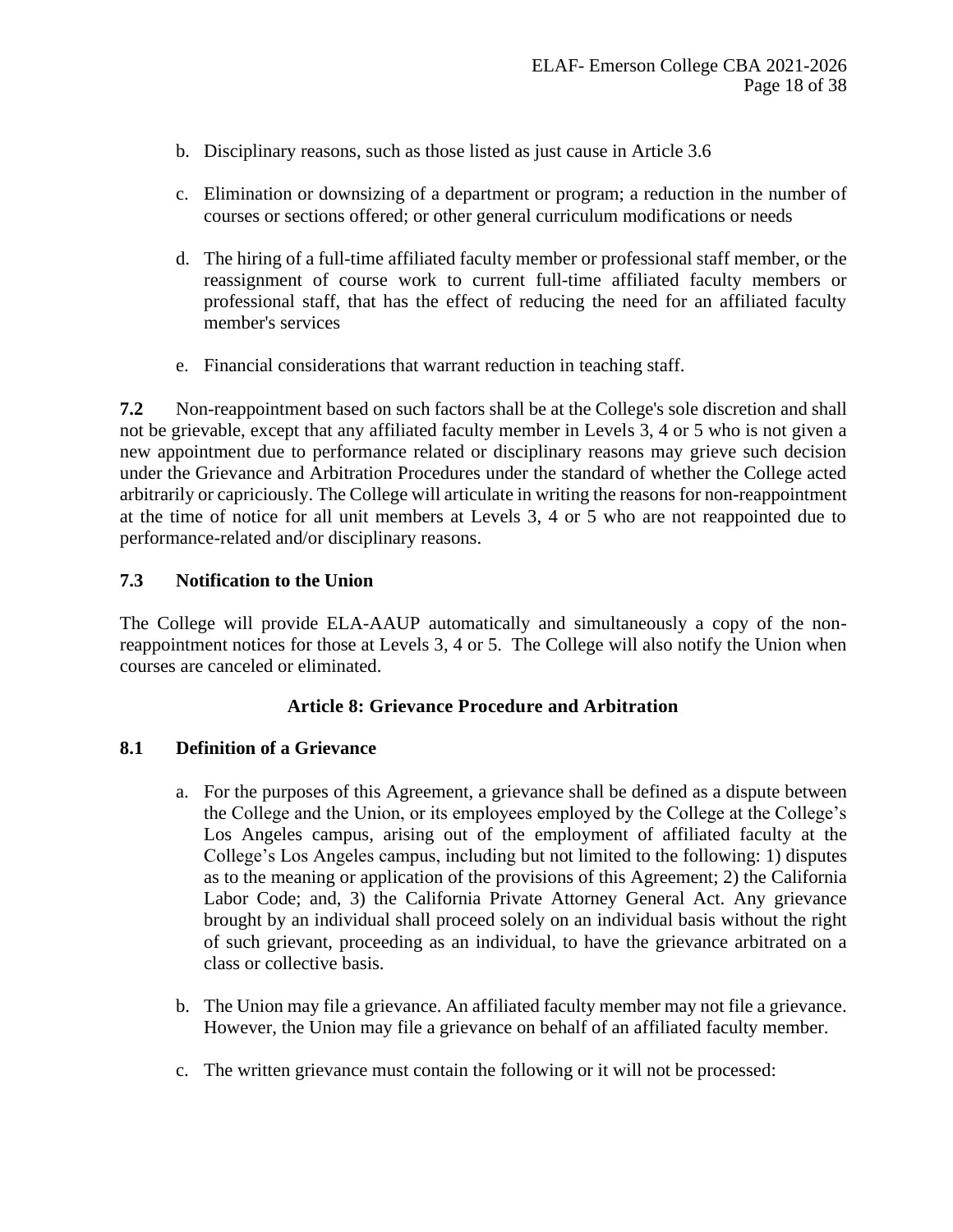- b. Disciplinary reasons, such as those listed as just cause in Article 3.6
- c. Elimination or downsizing of a department or program; a reduction in the number of courses or sections offered; or other general curriculum modifications or needs
- d. The hiring of a full-time affiliated faculty member or professional staff member, or the reassignment of course work to current full-time affiliated faculty members or professional staff, that has the effect of reducing the need for an affiliated faculty member's services
- e. Financial considerations that warrant reduction in teaching staff.

**7.2** Non-reappointment based on such factors shall be at the College's sole discretion and shall not be grievable, except that any affiliated faculty member in Levels 3, 4 or 5 who is not given a new appointment due to performance related or disciplinary reasons may grieve such decision under the Grievance and Arbitration Procedures under the standard of whether the College acted arbitrarily or capriciously. The College will articulate in writing the reasons for non-reappointment at the time of notice for all unit members at Levels 3, 4 or 5 who are not reappointed due to performance-related and/or disciplinary reasons.

# **7.3 Notification to the Union**

The College will provide ELA-AAUP automatically and simultaneously a copy of the nonreappointment notices for those at Levels 3, 4 or 5. The College will also notify the Union when courses are canceled or eliminated.

# **Article 8: Grievance Procedure and Arbitration**

# <span id="page-17-0"></span>**8.1 Definition of a Grievance**

- a. For the purposes of this Agreement, a grievance shall be defined as a dispute between the College and the Union, or its employees employed by the College at the College's Los Angeles campus, arising out of the employment of affiliated faculty at the College's Los Angeles campus, including but not limited to the following: 1) disputes as to the meaning or application of the provisions of this Agreement; 2) the California Labor Code; and, 3) the California Private Attorney General Act. Any grievance brought by an individual shall proceed solely on an individual basis without the right of such grievant, proceeding as an individual, to have the grievance arbitrated on a class or collective basis.
- b. The Union may file a grievance. An affiliated faculty member may not file a grievance. However, the Union may file a grievance on behalf of an affiliated faculty member.
- c. The written grievance must contain the following or it will not be processed: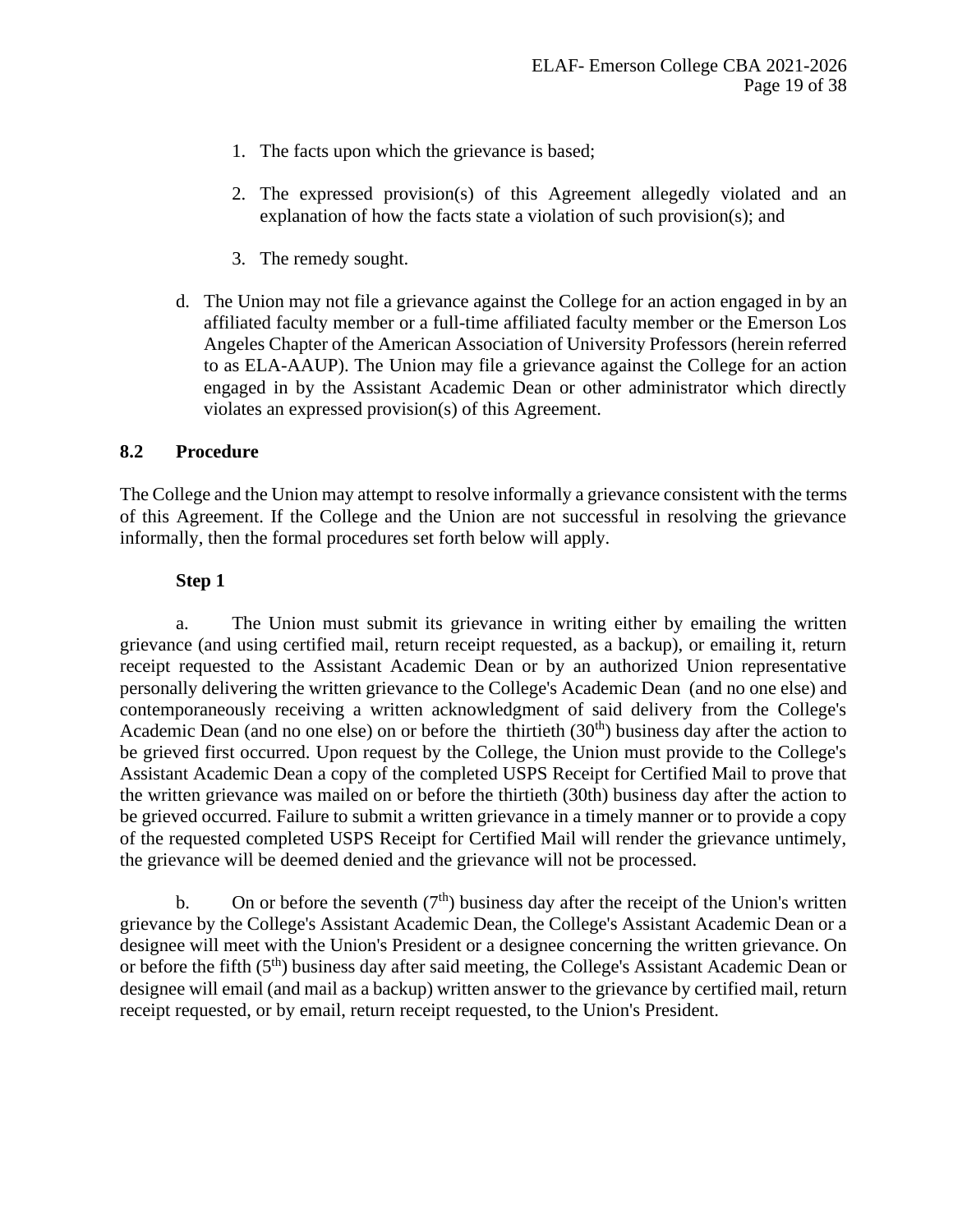- 1. The facts upon which the grievance is based;
- 2. The expressed provision(s) of this Agreement allegedly violated and an explanation of how the facts state a violation of such provision(s); and
- 3. The remedy sought.
- d. The Union may not file a grievance against the College for an action engaged in by an affiliated faculty member or a full-time affiliated faculty member or the Emerson Los Angeles Chapter of the American Association of University Professors (herein referred to as ELA-AAUP). The Union may file a grievance against the College for an action engaged in by the Assistant Academic Dean or other administrator which directly violates an expressed provision(s) of this Agreement.

#### **8.2 Procedure**

The College and the Union may attempt to resolve informally a grievance consistent with the terms of this Agreement. If the College and the Union are not successful in resolving the grievance informally, then the formal procedures set forth below will apply.

#### **Step 1**

a. The Union must submit its grievance in writing either by emailing the written grievance (and using certified mail, return receipt requested, as a backup), or emailing it, return receipt requested to the Assistant Academic Dean or by an authorized Union representative personally delivering the written grievance to the College's Academic Dean (and no one else) and contemporaneously receiving a written acknowledgment of said delivery from the College's Academic Dean (and no one else) on or before the thirtieth  $(30<sup>th</sup>)$  business day after the action to be grieved first occurred. Upon request by the College, the Union must provide to the College's Assistant Academic Dean a copy of the completed USPS Receipt for Certified Mail to prove that the written grievance was mailed on or before the thirtieth (30th) business day after the action to be grieved occurred. Failure to submit a written grievance in a timely manner or to provide a copy of the requested completed USPS Receipt for Certified Mail will render the grievance untimely, the grievance will be deemed denied and the grievance will not be processed.

b. On or before the seventh  $(7<sup>th</sup>)$  business day after the receipt of the Union's written grievance by the College's Assistant Academic Dean, the College's Assistant Academic Dean or a designee will meet with the Union's President or a designee concerning the written grievance. On or before the fifth (5<sup>th</sup>) business day after said meeting, the College's Assistant Academic Dean or designee will email (and mail as a backup) written answer to the grievance by certified mail, return receipt requested, or by email, return receipt requested, to the Union's President.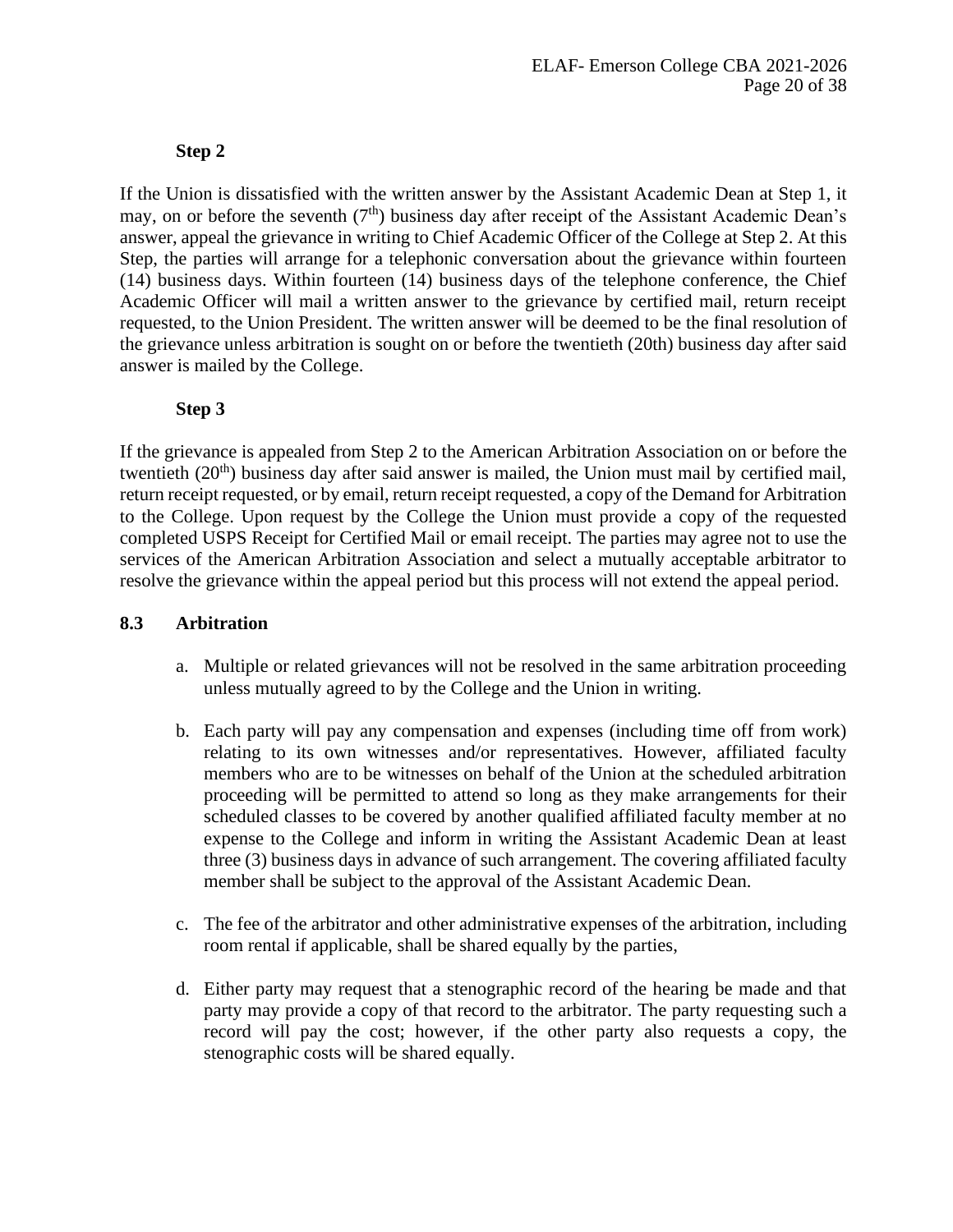# **Step 2**

If the Union is dissatisfied with the written answer by the Assistant Academic Dean at Step 1, it may, on or before the seventh  $(7<sup>th</sup>)$  business day after receipt of the Assistant Academic Dean's answer, appeal the grievance in writing to Chief Academic Officer of the College at Step 2. At this Step, the parties will arrange for a telephonic conversation about the grievance within fourteen (14) business days. Within fourteen (14) business days of the telephone conference, the Chief Academic Officer will mail a written answer to the grievance by certified mail, return receipt requested, to the Union President. The written answer will be deemed to be the final resolution of the grievance unless arbitration is sought on or before the twentieth (20th) business day after said answer is mailed by the College.

# **Step 3**

If the grievance is appealed from Step 2 to the American Arbitration Association on or before the twentieth  $(20<sup>th</sup>)$  business day after said answer is mailed, the Union must mail by certified mail, return receipt requested, or by email, return receipt requested, a copy of the Demand for Arbitration to the College. Upon request by the College the Union must provide a copy of the requested completed USPS Receipt for Certified Mail or email receipt. The parties may agree not to use the services of the American Arbitration Association and select a mutually acceptable arbitrator to resolve the grievance within the appeal period but this process will not extend the appeal period.

# **8.3 Arbitration**

- a. Multiple or related grievances will not be resolved in the same arbitration proceeding unless mutually agreed to by the College and the Union in writing.
- b. Each party will pay any compensation and expenses (including time off from work) relating to its own witnesses and/or representatives. However, affiliated faculty members who are to be witnesses on behalf of the Union at the scheduled arbitration proceeding will be permitted to attend so long as they make arrangements for their scheduled classes to be covered by another qualified affiliated faculty member at no expense to the College and inform in writing the Assistant Academic Dean at least three (3) business days in advance of such arrangement. The covering affiliated faculty member shall be subject to the approval of the Assistant Academic Dean.
- c. The fee of the arbitrator and other administrative expenses of the arbitration, including room rental if applicable, shall be shared equally by the parties,
- d. Either party may request that a stenographic record of the hearing be made and that party may provide a copy of that record to the arbitrator. The party requesting such a record will pay the cost; however, if the other party also requests a copy, the stenographic costs will be shared equally.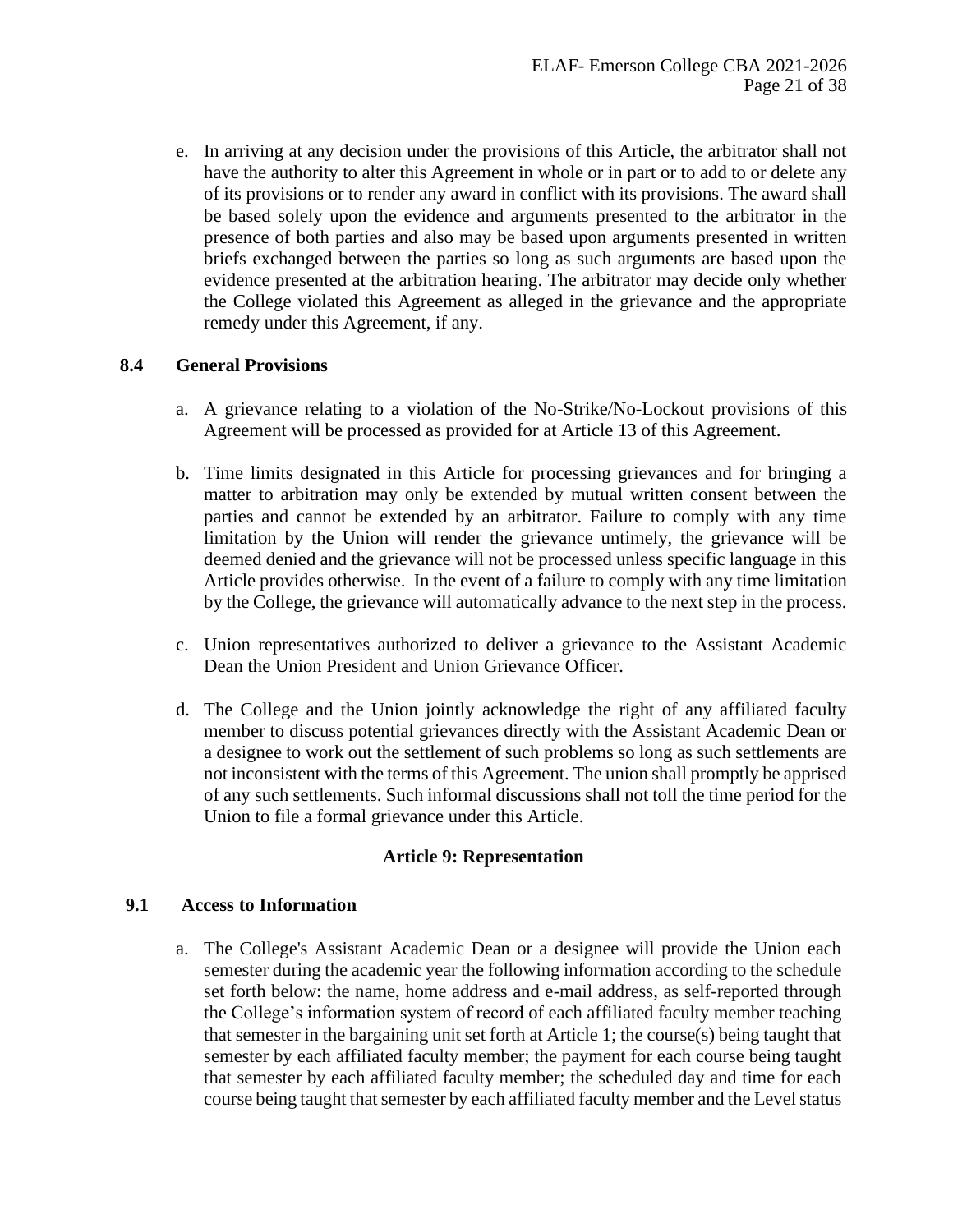e. In arriving at any decision under the provisions of this Article, the arbitrator shall not have the authority to alter this Agreement in whole or in part or to add to or delete any of its provisions or to render any award in conflict with its provisions. The award shall be based solely upon the evidence and arguments presented to the arbitrator in the presence of both parties and also may be based upon arguments presented in written briefs exchanged between the parties so long as such arguments are based upon the evidence presented at the arbitration hearing. The arbitrator may decide only whether the College violated this Agreement as alleged in the grievance and the appropriate remedy under this Agreement, if any.

# **8.4 General Provisions**

- a. A grievance relating to a violation of the No-Strike/No-Lockout provisions of this Agreement will be processed as provided for at Article 13 of this Agreement.
- b. Time limits designated in this Article for processing grievances and for bringing a matter to arbitration may only be extended by mutual written consent between the parties and cannot be extended by an arbitrator. Failure to comply with any time limitation by the Union will render the grievance untimely, the grievance will be deemed denied and the grievance will not be processed unless specific language in this Article provides otherwise. In the event of a failure to comply with any time limitation by the College, the grievance will automatically advance to the next step in the process.
- c. Union representatives authorized to deliver a grievance to the Assistant Academic Dean the Union President and Union Grievance Officer.
- d. The College and the Union jointly acknowledge the right of any affiliated faculty member to discuss potential grievances directly with the Assistant Academic Dean or a designee to work out the settlement of such problems so long as such settlements are not inconsistent with the terms of this Agreement. The union shall promptly be apprised of any such settlements. Such informal discussions shall not toll the time period for the Union to file a formal grievance under this Article.

#### **Article 9: Representation**

#### <span id="page-20-0"></span>**9.1 Access to Information**

a. The College's Assistant Academic Dean or a designee will provide the Union each semester during the academic year the following information according to the schedule set forth below: the name, home address and e-mail address, as self-reported through the College's information system of record of each affiliated faculty member teaching that semester in the bargaining unit set forth at Article 1; the course(s) being taught that semester by each affiliated faculty member; the payment for each course being taught that semester by each affiliated faculty member; the scheduled day and time for each course being taught that semester by each affiliated faculty member and the Level status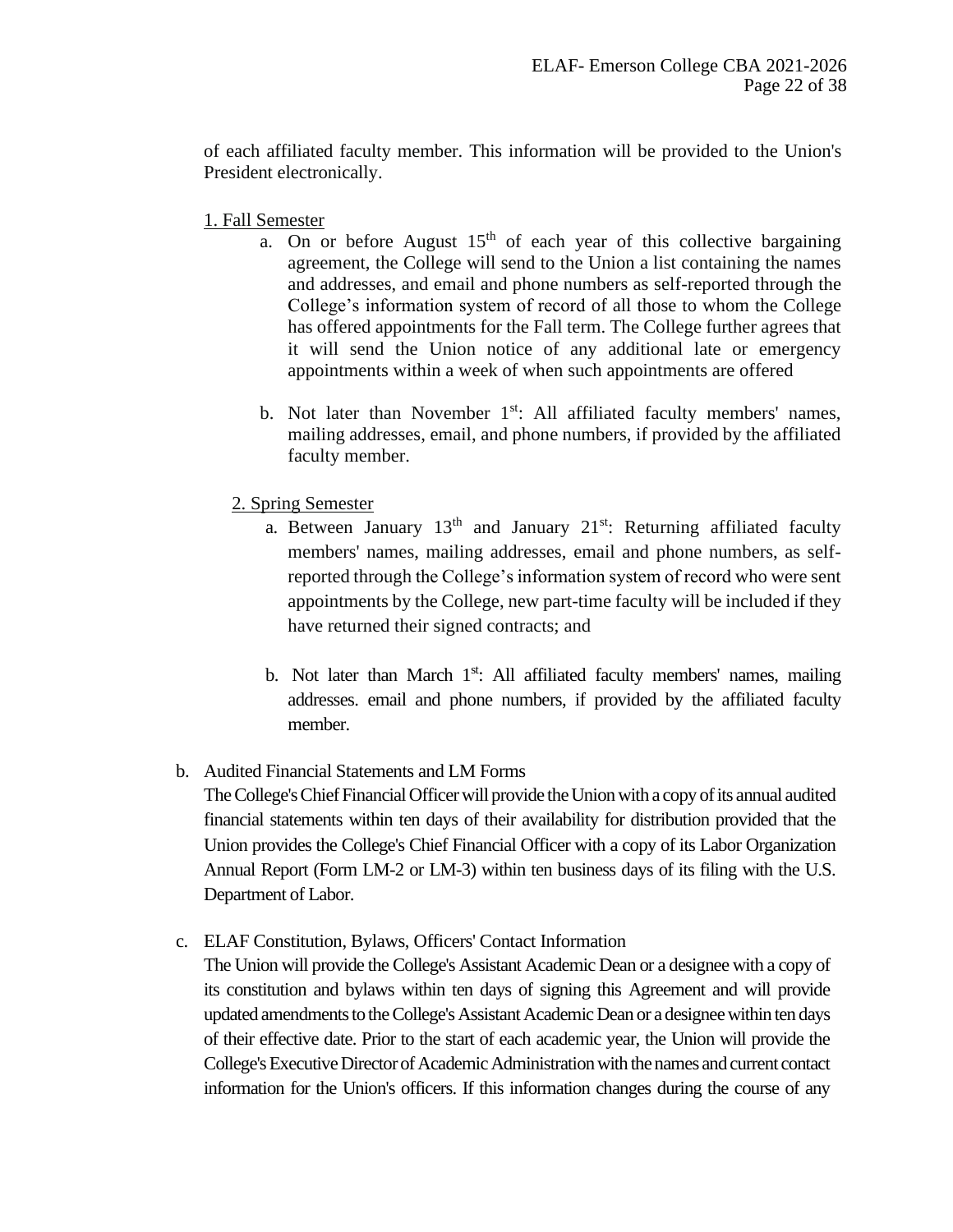of each affiliated faculty member. This information will be provided to the Union's President electronically.

- 1. Fall Semester
	- a. On or before August  $15<sup>th</sup>$  of each year of this collective bargaining agreement, the College will send to the Union a list containing the names and addresses, and email and phone numbers as self-reported through the College's information system of record of all those to whom the College has offered appointments for the Fall term. The College further agrees that it will send the Union notice of any additional late or emergency appointments within a week of when such appointments are offered
	- b. Not later than November  $1<sup>st</sup>$ : All affiliated faculty members' names, mailing addresses, email, and phone numbers, if provided by the affiliated faculty member.
	- 2. Spring Semester
		- a. Between January  $13<sup>th</sup>$  and January  $21<sup>st</sup>$ : Returning affiliated faculty members' names, mailing addresses, email and phone numbers, as selfreported through the College's information system of record who were sent appointments by the College, new part-time faculty will be included if they have returned their signed contracts; and
		- b. Not later than March  $1<sup>st</sup>$ : All affiliated faculty members' names, mailing addresses. email and phone numbers, if provided by the affiliated faculty member.
- b. Audited Financial Statements and LM Forms

The College's Chief Financial Officer will provide the Union with a copy of its annual audited financial statements within ten days of their availability for distribution provided that the Union provides the College's Chief Financial Officer with a copy of its Labor Organization Annual Report (Form LM-2 or LM-3) within ten business days of its filing with the U.S. Department of Labor.

c. ELAF Constitution, Bylaws, Officers' Contact Information

The Union will provide the College's Assistant Academic Dean or a designee with a copy of its constitution and bylaws within ten days of signing this Agreement and will provide updated amendments to the College's Assistant Academic Dean or a designee within ten days of their effective date. Prior to the start of each academic year, the Union will provide the College's Executive Director of Academic Administration with the names and current contact information for the Union's officers. If this information changes during the course of any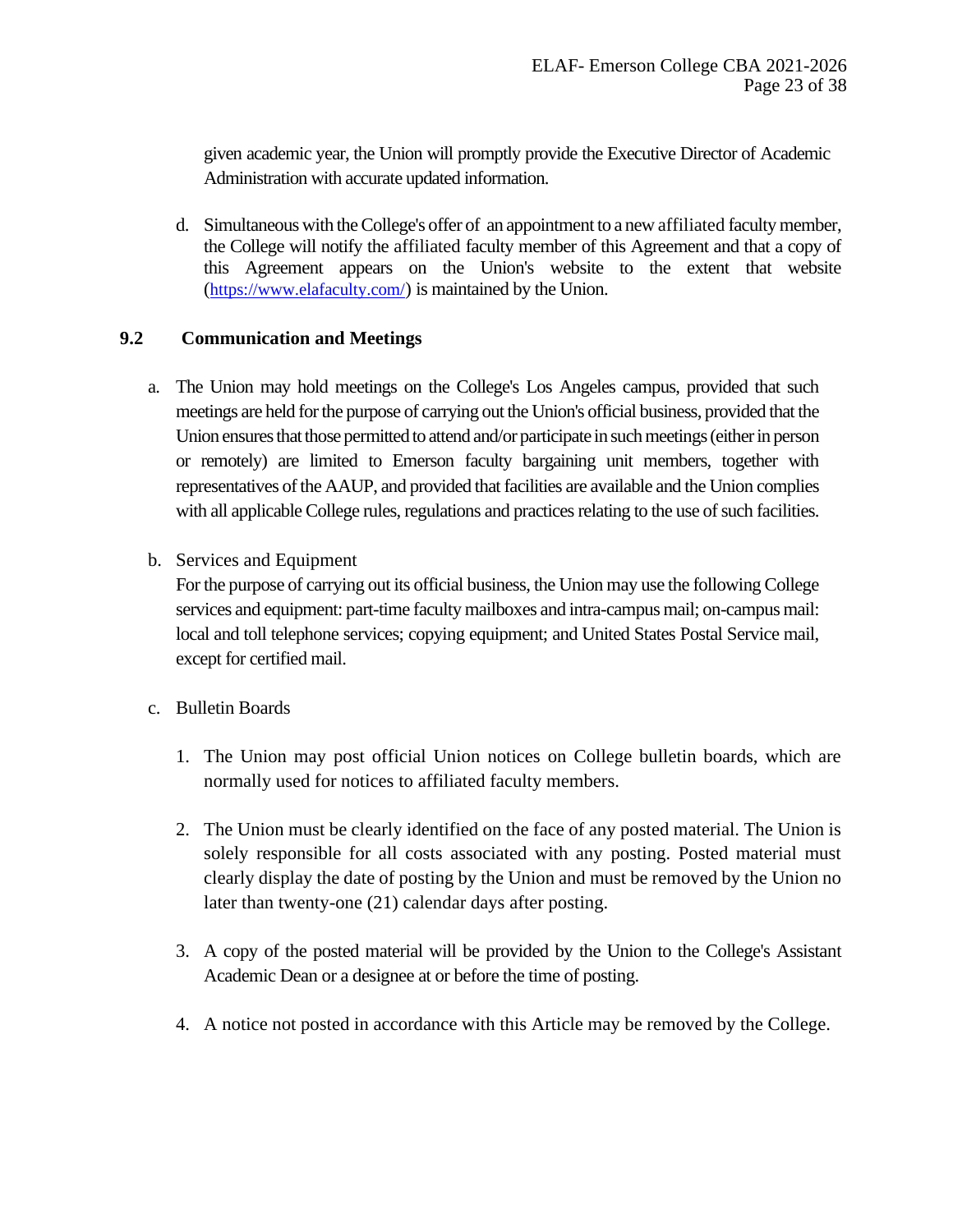given academic year, the Union will promptly provide the Executive Director of Academic Administration with accurate updated information.

d. Simultaneous with the College's offer of an appointment to a new affiliated faculty member, the College will notify the affiliated faculty member of this Agreement and that a copy of this Agreement appears on the Union's website to the extent that website (<https://www.elafaculty.com/>) is maintained by the Union.

# **9.2 Communication and Meetings**

a. The Union may hold meetings on the College's Los Angeles campus, provided that such meetings are held for the purpose of carrying out the Union's official business, provided that the Union ensures that those permitted to attend and/or participate in such meetings (either in person or remotely) are limited to Emerson faculty bargaining unit members, together with representatives of the AAUP, and provided that facilities are available and the Union complies with all applicable College rules, regulations and practices relating to the use of such facilities.

# b. Services and Equipment

For the purpose of carrying out its official business, the Union may use the following College services and equipment: part-time faculty mailboxes and intra-campus mail; on-campus mail: local and toll telephone services; copying equipment; and United States Postal Service mail, except for certified mail.

- c. Bulletin Boards
	- 1. The Union may post official Union notices on College bulletin boards, which are normally used for notices to affiliated faculty members.
	- 2. The Union must be clearly identified on the face of any posted material. The Union is solely responsible for all costs associated with any posting. Posted material must clearly display the date of posting by the Union and must be removed by the Union no later than twenty-one (21) calendar days after posting.
	- 3. A copy of the posted material will be provided by the Union to the College's Assistant Academic Dean or a designee at or before the time of posting.
	- 4. A notice not posted in accordance with this Article may be removed by the College.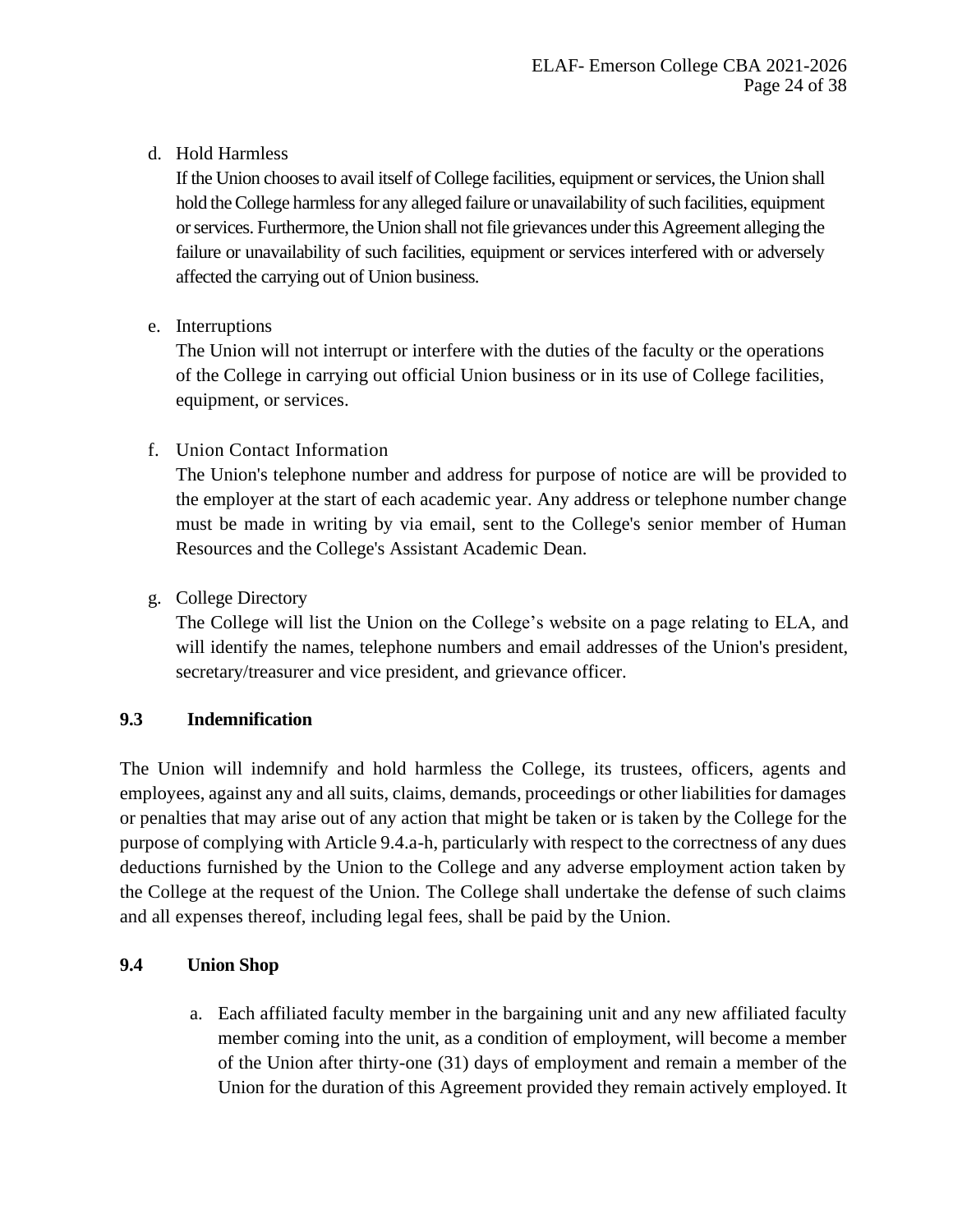# d. Hold Harmless

If the Union chooses to avail itself of College facilities, equipment or services, the Union shall hold the College harmless for any alleged failure or unavailability of such facilities, equipment or services. Furthermore, the Union shall not file grievances under this Agreement alleging the failure or unavailability of such facilities, equipment or services interfered with or adversely affected the carrying out of Union business.

e. Interruptions

The Union will not interrupt or interfere with the duties of the faculty or the operations of the College in carrying out official Union business or in its use of College facilities, equipment, or services.

f. Union Contact Information

The Union's telephone number and address for purpose of notice are will be provided to the employer at the start of each academic year. Any address or telephone number change must be made in writing by via email, sent to the College's senior member of Human Resources and the College's Assistant Academic Dean.

g. College Directory

The College will list the Union on the College's website on a page relating to ELA, and will identify the names, telephone numbers and email addresses of the Union's president, secretary/treasurer and vice president, and grievance officer.

# **9.3 Indemnification**

The Union will indemnify and hold harmless the College, its trustees, officers, agents and employees, against any and all suits, claims, demands, proceedings or other liabilities for damages or penalties that may arise out of any action that might be taken or is taken by the College for the purpose of complying with Article 9.4.a-h, particularly with respect to the correctness of any dues deductions furnished by the Union to the College and any adverse employment action taken by the College at the request of the Union. The College shall undertake the defense of such claims and all expenses thereof, including legal fees, shall be paid by the Union.

# **9.4 Union Shop**

a. Each affiliated faculty member in the bargaining unit and any new affiliated faculty member coming into the unit, as a condition of employment, will become a member of the Union after thirty-one (31) days of employment and remain a member of the Union for the duration of this Agreement provided they remain actively employed. It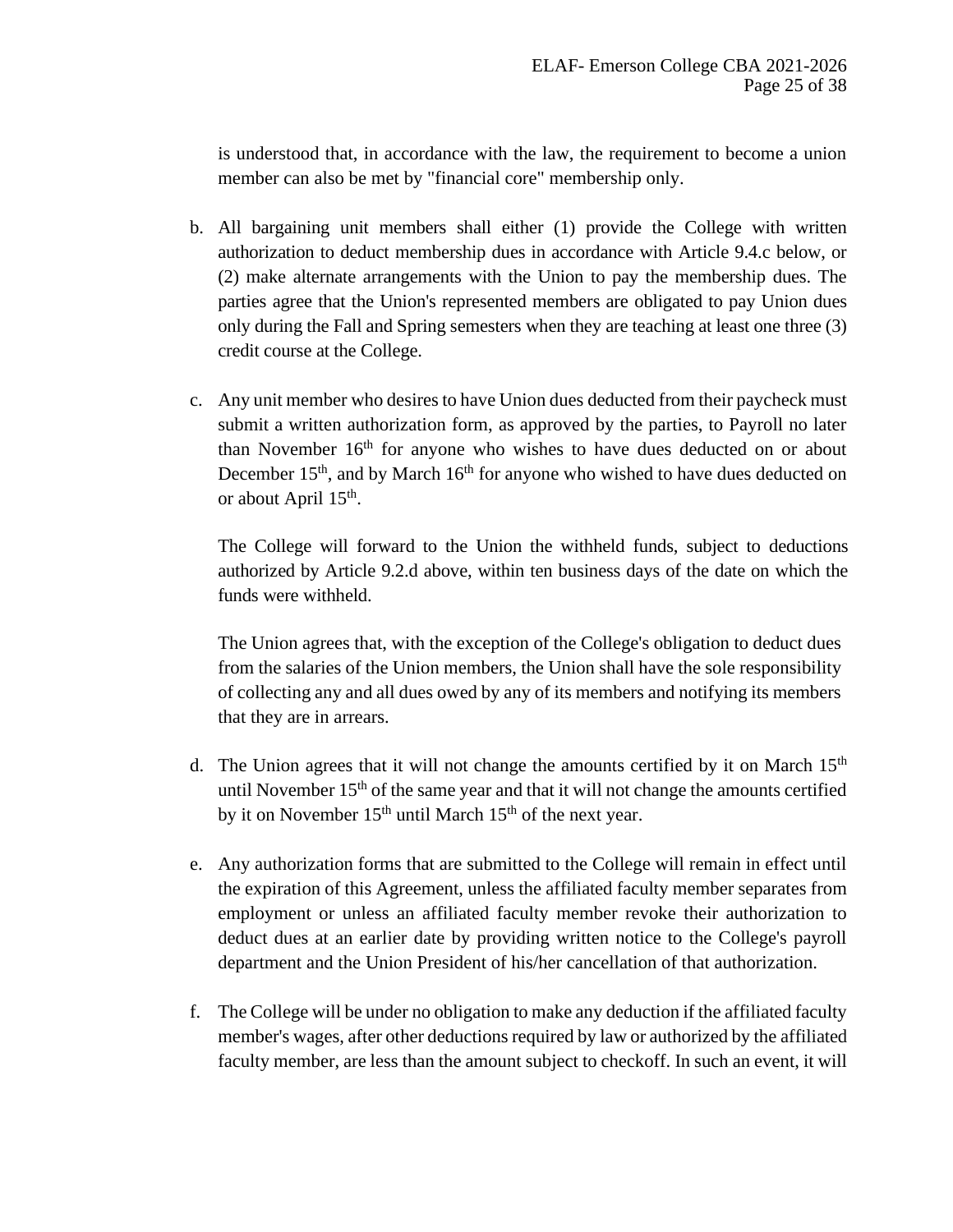is understood that, in accordance with the law, the requirement to become a union member can also be met by "financial core" membership only.

- b. All bargaining unit members shall either (1) provide the College with written authorization to deduct membership dues in accordance with Article 9.4.c below, or (2) make alternate arrangements with the Union to pay the membership dues. The parties agree that the Union's represented members are obligated to pay Union dues only during the Fall and Spring semesters when they are teaching at least one three (3) credit course at the College.
- c. Any unit member who desires to have Union dues deducted from their paycheck must submit a written authorization form, as approved by the parties, to Payroll no later than November  $16<sup>th</sup>$  for anyone who wishes to have dues deducted on or about December  $15<sup>th</sup>$ , and by March  $16<sup>th</sup>$  for anyone who wished to have dues deducted on or about April 15<sup>th</sup>.

The College will forward to the Union the withheld funds, subject to deductions authorized by Article 9.2.d above, within ten business days of the date on which the funds were withheld.

The Union agrees that, with the exception of the College's obligation to deduct dues from the salaries of the Union members, the Union shall have the sole responsibility of collecting any and all dues owed by any of its members and notifying its members that they are in arrears.

- d. The Union agrees that it will not change the amounts certified by it on March  $15<sup>th</sup>$ until November  $15<sup>th</sup>$  of the same year and that it will not change the amounts certified by it on November  $15<sup>th</sup>$  until March  $15<sup>th</sup>$  of the next year.
- e. Any authorization forms that are submitted to the College will remain in effect until the expiration of this Agreement, unless the affiliated faculty member separates from employment or unless an affiliated faculty member revoke their authorization to deduct dues at an earlier date by providing written notice to the College's payroll department and the Union President of his/her cancellation of that authorization.
- f. The College will be under no obligation to make any deduction if the affiliated faculty member's wages, after other deductions required by law or authorized by the affiliated faculty member, are less than the amount subject to checkoff. In such an event, it will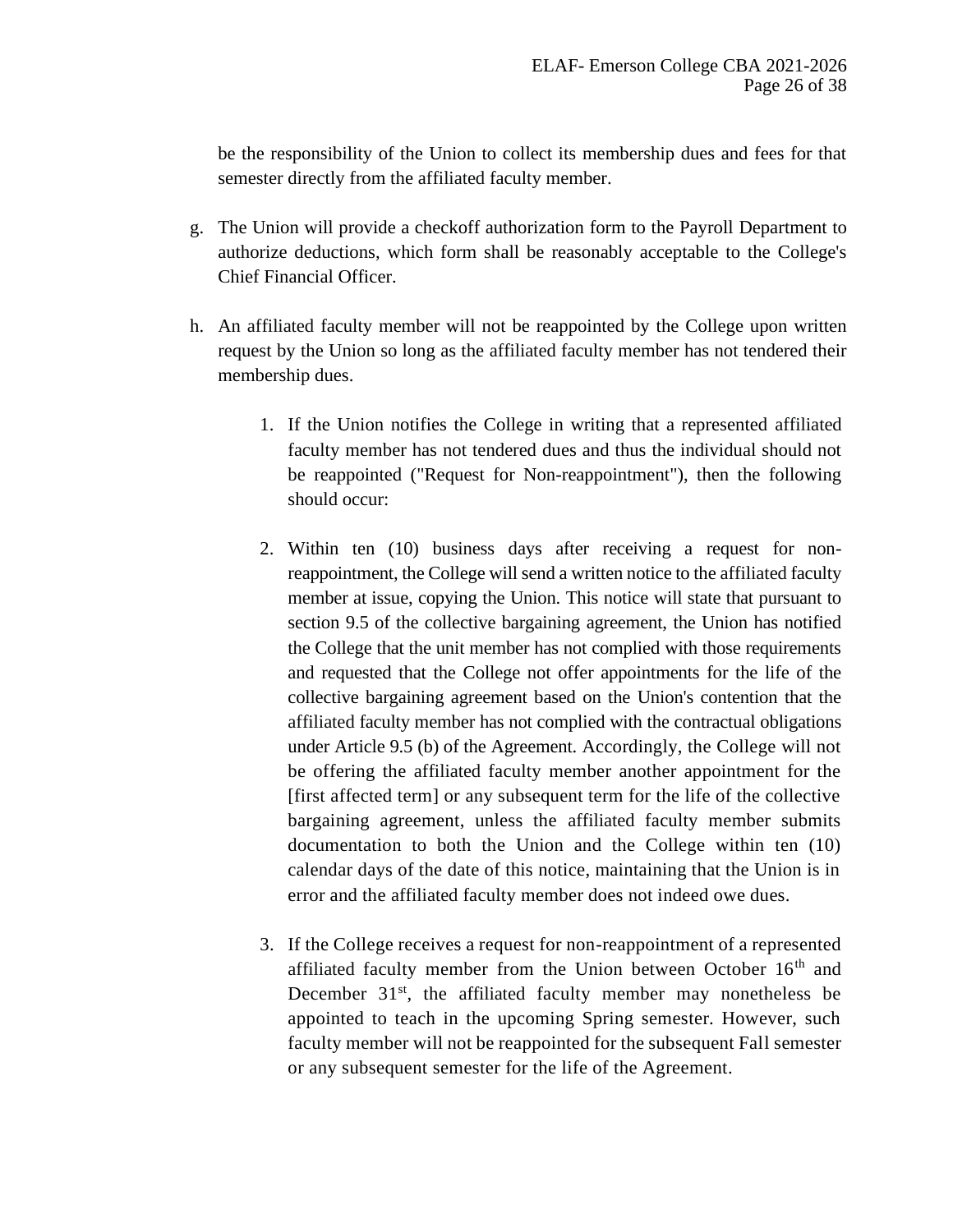be the responsibility of the Union to collect its membership dues and fees for that semester directly from the affiliated faculty member.

- g. The Union will provide a checkoff authorization form to the Payroll Department to authorize deductions, which form shall be reasonably acceptable to the College's Chief Financial Officer.
- h. An affiliated faculty member will not be reappointed by the College upon written request by the Union so long as the affiliated faculty member has not tendered their membership dues.
	- 1. If the Union notifies the College in writing that a represented affiliated faculty member has not tendered dues and thus the individual should not be reappointed ("Request for Non-reappointment"), then the following should occur:
	- 2. Within ten (10) business days after receiving a request for nonreappointment, the College will send a written notice to the affiliated faculty member at issue, copying the Union. This notice will state that pursuant to section 9.5 of the collective bargaining agreement, the Union has notified the College that the unit member has not complied with those requirements and requested that the College not offer appointments for the life of the collective bargaining agreement based on the Union's contention that the affiliated faculty member has not complied with the contractual obligations under Article 9.5 (b) of the Agreement. Accordingly, the College will not be offering the affiliated faculty member another appointment for the [first affected term] or any subsequent term for the life of the collective bargaining agreement, unless the affiliated faculty member submits documentation to both the Union and the College within ten (10) calendar days of the date of this notice, maintaining that the Union is in error and the affiliated faculty member does not indeed owe dues.
	- 3. If the College receives a request for non-reappointment of a represented affiliated faculty member from the Union between October 16<sup>th</sup> and December  $31<sup>st</sup>$ , the affiliated faculty member may nonetheless be appointed to teach in the upcoming Spring semester. However, such faculty member will not be reappointed for the subsequent Fall semester or any subsequent semester for the life of the Agreement.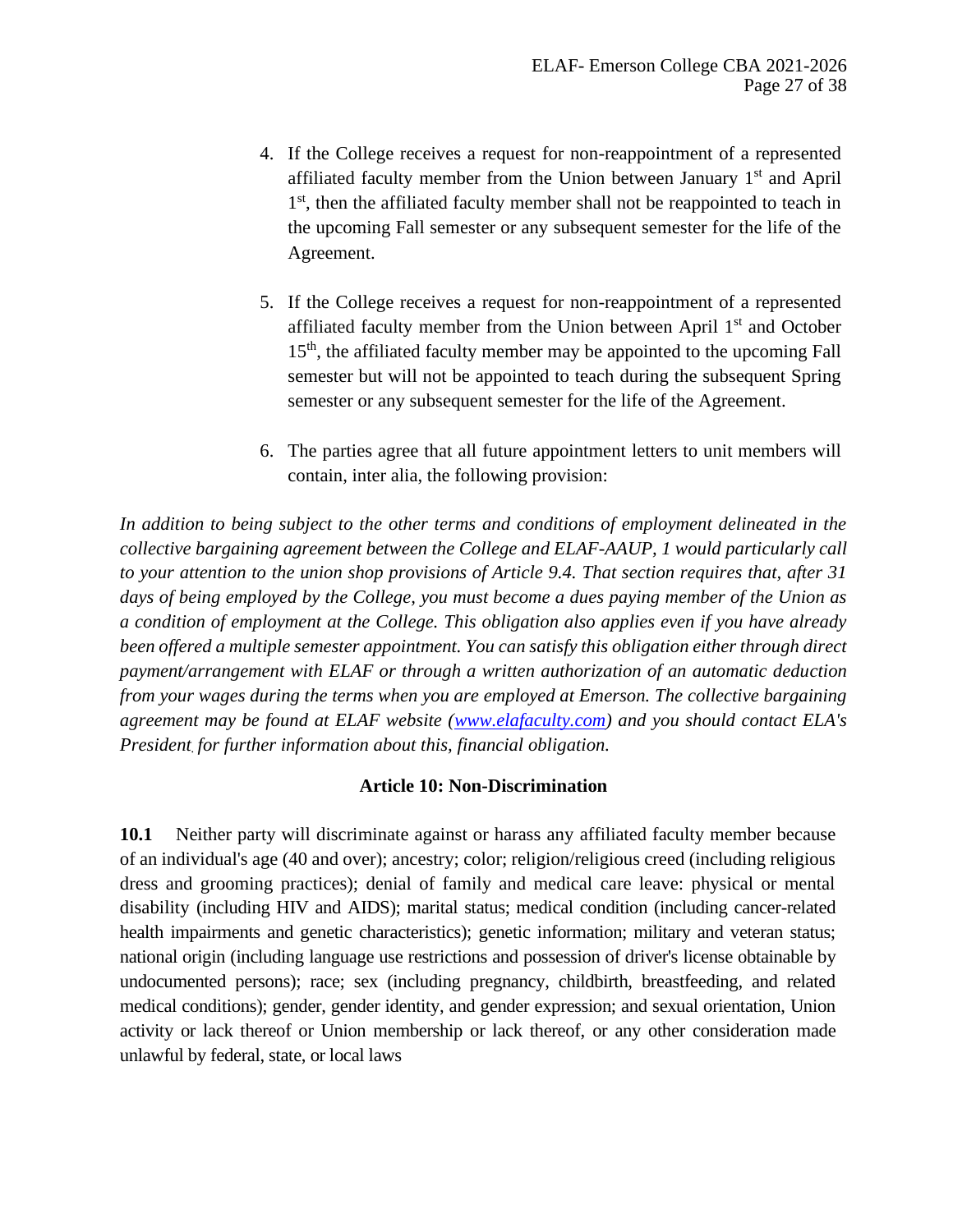- 4. If the College receives a request for non-reappointment of a represented affiliated faculty member from the Union between January 1<sup>st</sup> and April 1<sup>st</sup>, then the affiliated faculty member shall not be reappointed to teach in the upcoming Fall semester or any subsequent semester for the life of the Agreement.
- 5. If the College receives a request for non-reappointment of a represented affiliated faculty member from the Union between April 1<sup>st</sup> and October 15<sup>th</sup>, the affiliated faculty member may be appointed to the upcoming Fall semester but will not be appointed to teach during the subsequent Spring semester or any subsequent semester for the life of the Agreement.
- 6. The parties agree that all future appointment letters to unit members will contain, inter alia, the following provision:

*In addition to being subject to the other terms and conditions of employment delineated in the collective bargaining agreement between the College and ELAF-AAUP, 1 would particularly call to your attention to the union shop provisions of Article 9.4. That section requires that, after 31 days of being employed by the College, you must become a dues paying member of the Union as a condition of employment at the College. This obligation also applies even if you have already been offered a multiple semester appointment. You can satisfy this obligation either through direct payment/arrangement with ELAF or through a written authorization of an automatic deduction from your wages during the terms when you are employed at Emerson. The collective bargaining agreement may be found at ELAF website [\(www.elafaculty.com\)](http://www.elafaculty.com/) and you should contact ELA's President. for further information about this, financial obligation.*

#### **Article 10: Non-Discrimination**

<span id="page-26-0"></span>**10.1** Neither party will discriminate against or harass any affiliated faculty member because of an individual's age (40 and over); ancestry; color; religion/religious creed (including religious dress and grooming practices); denial of family and medical care leave: physical or mental disability (including HIV and AIDS); marital status; medical condition (including cancer-related health impairments and genetic characteristics); genetic information; military and veteran status; national origin (including language use restrictions and possession of driver's license obtainable by undocumented persons); race; sex (including pregnancy, childbirth, breastfeeding, and related medical conditions); gender, gender identity, and gender expression; and sexual orientation, Union activity or lack thereof or Union membership or lack thereof, or any other consideration made unlawful by federal, state, or local laws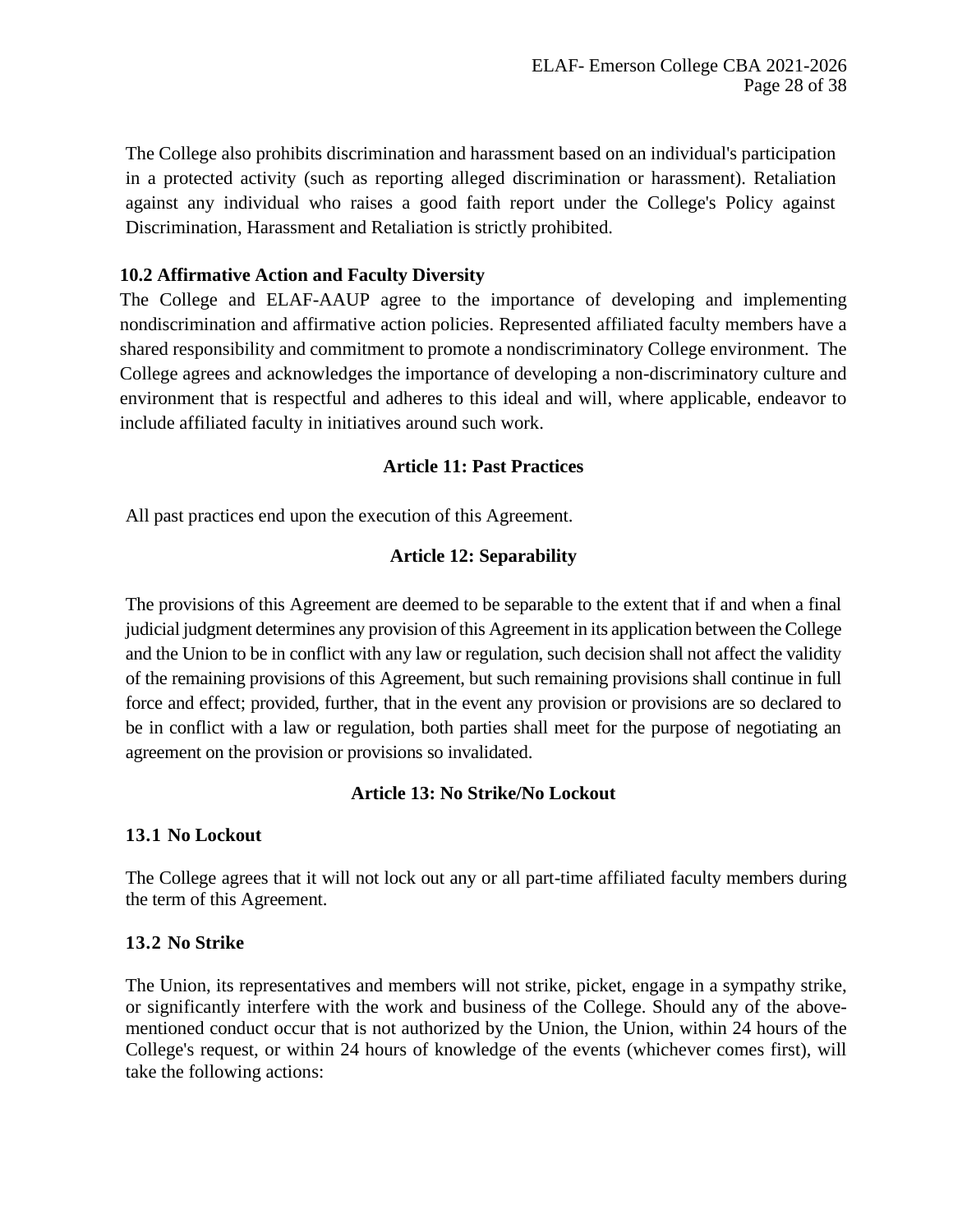The College also prohibits discrimination and harassment based on an individual's participation in a protected activity (such as reporting alleged discrimination or harassment). Retaliation against any individual who raises a good faith report under the College's Policy against Discrimination, Harassment and Retaliation is strictly prohibited.

# **10.2 Affirmative Action and Faculty Diversity**

The College and ELAF-AAUP agree to the importance of developing and implementing nondiscrimination and affirmative action policies. Represented affiliated faculty members have a shared responsibility and commitment to promote a nondiscriminatory College environment. The College agrees and acknowledges the importance of developing a non-discriminatory culture and environment that is respectful and adheres to this ideal and will, where applicable, endeavor to include affiliated faculty in initiatives around such work.

# **Article 11: Past Practices**

<span id="page-27-1"></span><span id="page-27-0"></span>All past practices end upon the execution of this Agreement.

# **Article 12: Separability**

The provisions of this Agreement are deemed to be separable to the extent that if and when a final judicial judgment determines any provision of this Agreement in its application between the College and the Union to be in conflict with any law or regulation, such decision shall not affect the validity of the remaining provisions of this Agreement, but such remaining provisions shall continue in full force and effect; provided, further, that in the event any provision or provisions are so declared to be in conflict with a law or regulation, both parties shall meet for the purpose of negotiating an agreement on the provision or provisions so invalidated.

#### **Article 13: No Strike/No Lockout**

#### <span id="page-27-2"></span>**13.1 No Lockout**

The College agrees that it will not lock out any or all part-time affiliated faculty members during the term of this Agreement.

#### **13.2 No Strike**

The Union, its representatives and members will not strike, picket, engage in a sympathy strike, or significantly interfere with the work and business of the College. Should any of the abovementioned conduct occur that is not authorized by the Union, the Union, within 24 hours of the College's request, or within 24 hours of knowledge of the events (whichever comes first), will take the following actions: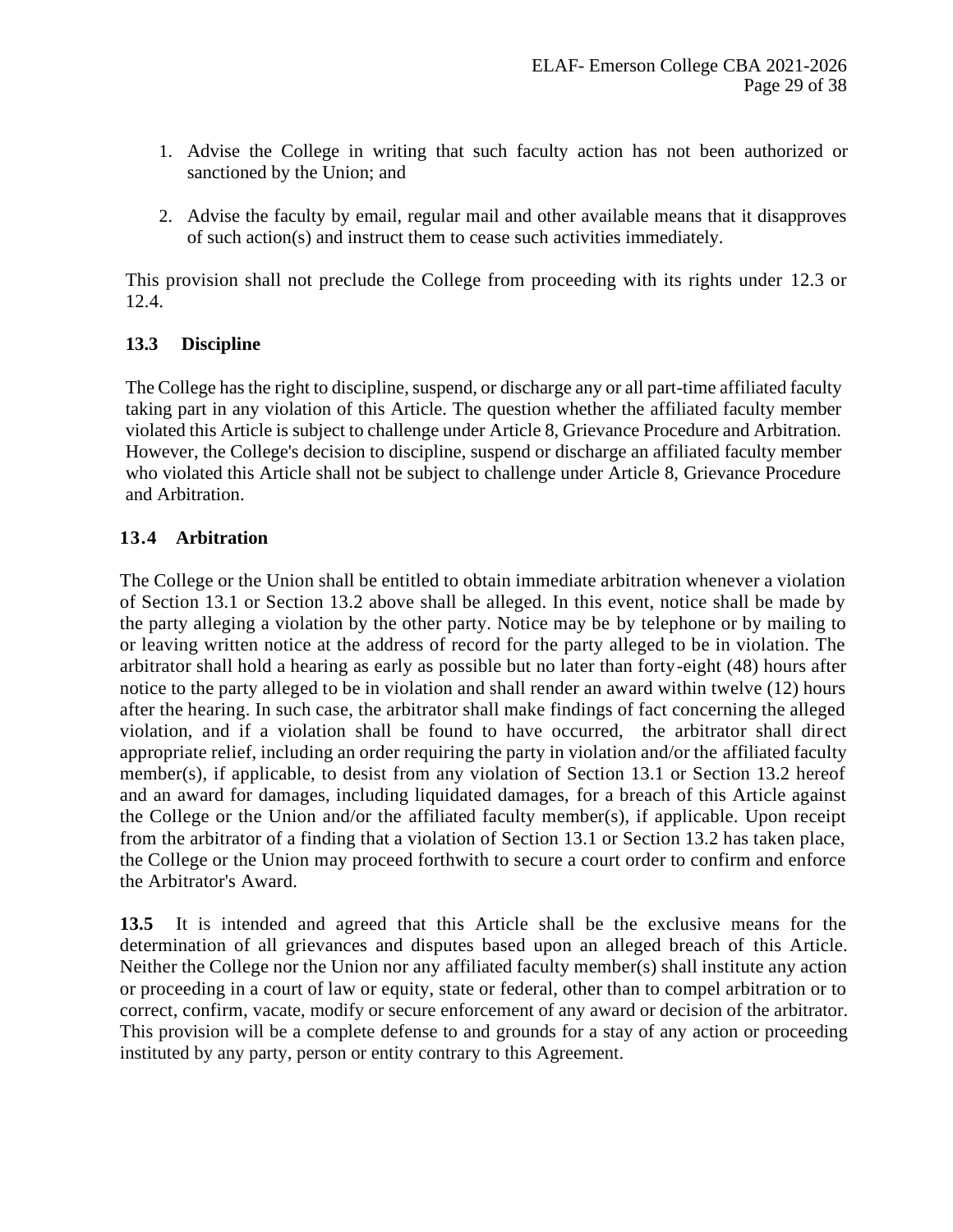- 1. Advise the College in writing that such faculty action has not been authorized or sanctioned by the Union; and
- 2. Advise the faculty by email, regular mail and other available means that it disapproves of such action(s) and instruct them to cease such activities immediately.

This provision shall not preclude the College from proceeding with its rights under 12.3 or 12.4.

# **13.3 Discipline**

The College has the right to discipline, suspend, or discharge any or all part-time affiliated faculty taking part in any violation of this Article. The question whether the affiliated faculty member violated this Article is subject to challenge under Article 8, Grievance Procedure and Arbitration. However, the College's decision to discipline, suspend or discharge an affiliated faculty member who violated this Article shall not be subject to challenge under Article 8, Grievance Procedure and Arbitration.

# **13.4 Arbitration**

The College or the Union shall be entitled to obtain immediate arbitration whenever a violation of Section 13.1 or Section 13.2 above shall be alleged. In this event, notice shall be made by the party alleging a violation by the other party. Notice may be by telephone or by mailing to or leaving written notice at the address of record for the party alleged to be in violation. The arbitrator shall hold a hearing as early as possible but no later than forty-eight (48) hours after notice to the party alleged to be in violation and shall render an award within twelve (12) hours after the hearing. In such case, the arbitrator shall make findings of fact concerning the alleged violation, and if a violation shall be found to have occurred, the arbitrator shall direct appropriate relief, including an order requiring the party in violation and/or the affiliated faculty member(s), if applicable, to desist from any violation of Section 13.1 or Section 13.2 hereof and an award for damages, including liquidated damages, for a breach of this Article against the College or the Union and/or the affiliated faculty member(s), if applicable. Upon receipt from the arbitrator of a finding that a violation of Section 13.1 or Section 13.2 has taken place, the College or the Union may proceed forthwith to secure a court order to confirm and enforce the Arbitrator's Award.

**13.5** It is intended and agreed that this Article shall be the exclusive means for the determination of all grievances and disputes based upon an alleged breach of this Article. Neither the College nor the Union nor any affiliated faculty member(s) shall institute any action or proceeding in a court of law or equity, state or federal, other than to compel arbitration or to correct, confirm, vacate, modify or secure enforcement of any award or decision of the arbitrator. This provision will be a complete defense to and grounds for a stay of any action or proceeding instituted by any party, person or entity contrary to this Agreement.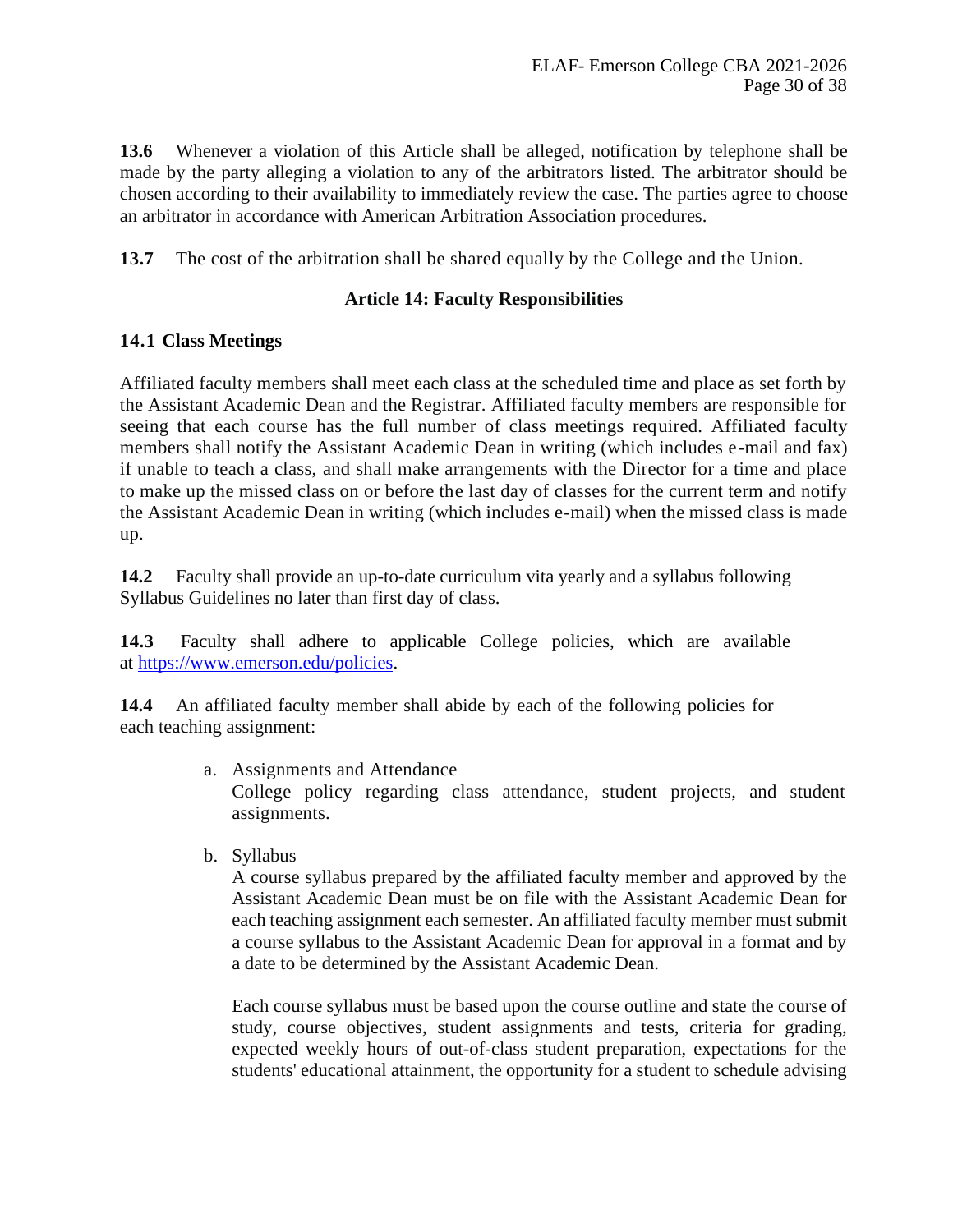**13.6** Whenever a violation of this Article shall be alleged, notification by telephone shall be made by the party alleging a violation to any of the arbitrators listed. The arbitrator should be chosen according to their availability to immediately review the case. The parties agree to choose an arbitrator in accordance with American Arbitration Association procedures.

<span id="page-29-0"></span>**13.7** The cost of the arbitration shall be shared equally by the College and the Union.

#### **Article 14: Faculty Responsibilities**

#### **14.1 Class Meetings**

Affiliated faculty members shall meet each class at the scheduled time and place as set forth by the Assistant Academic Dean and the Registrar. Affiliated faculty members are responsible for seeing that each course has the full number of class meetings required. Affiliated faculty members shall notify the Assistant Academic Dean in writing (which includes e-mail and fax) if unable to teach a class, and shall make arrangements with the Director for a time and place to make up the missed class on or before the last day of classes for the current term and notify the Assistant Academic Dean in writing (which includes e-mail) when the missed class is made up.

**14.2** Faculty shall provide an up-to-date curriculum vita yearly and a syllabus following Syllabus Guidelines no later than first day of class.

**14.3** Faculty shall adhere to applicable College policies, which are available at [https://www.emerson.edu/policies.](https://protect-us.mimecast.com/s/743oCyPJ6PCgxqxpIZHNX6?domain=emerson.edu)

**14.4** An affiliated faculty member shall abide by each of the following policies for each teaching assignment:

- a. Assignments and Attendance College policy regarding class attendance, student projects, and student assignments.
- b. Syllabus

A course syllabus prepared by the affiliated faculty member and approved by the Assistant Academic Dean must be on file with the Assistant Academic Dean for each teaching assignment each semester. An affiliated faculty member must submit a course syllabus to the Assistant Academic Dean for approval in a format and by a date to be determined by the Assistant Academic Dean.

Each course syllabus must be based upon the course outline and state the course of study, course objectives, student assignments and tests, criteria for grading, expected weekly hours of out-of-class student preparation, expectations for the students' educational attainment, the opportunity for a student to schedule advising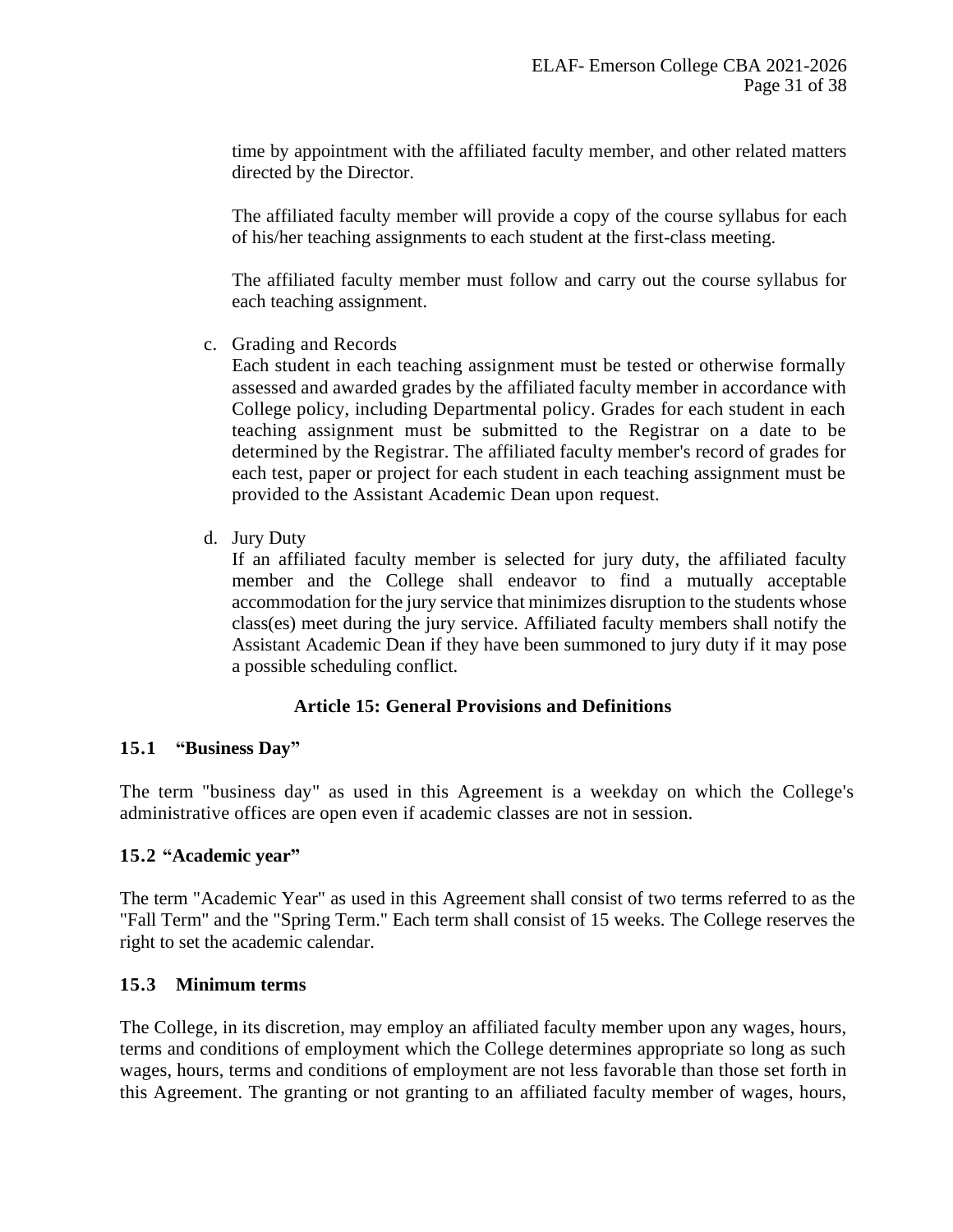time by appointment with the affiliated faculty member, and other related matters directed by the Director.

The affiliated faculty member will provide a copy of the course syllabus for each of his/her teaching assignments to each student at the first-class meeting.

The affiliated faculty member must follow and carry out the course syllabus for each teaching assignment.

c. Grading and Records

Each student in each teaching assignment must be tested or otherwise formally assessed and awarded grades by the affiliated faculty member in accordance with College policy, including Departmental policy. Grades for each student in each teaching assignment must be submitted to the Registrar on a date to be determined by the Registrar. The affiliated faculty member's record of grades for each test, paper or project for each student in each teaching assignment must be provided to the Assistant Academic Dean upon request.

d. Jury Duty

If an affiliated faculty member is selected for jury duty, the affiliated faculty member and the College shall endeavor to find a mutually acceptable accommodation for the jury service that minimizes disruption to the students whose class(es) meet during the jury service. Affiliated faculty members shall notify the Assistant Academic Dean if they have been summoned to jury duty if it may pose a possible scheduling conflict.

# **Article 15: General Provisions and Definitions**

#### <span id="page-30-0"></span>**15.1 "Business Day"**

The term "business day" as used in this Agreement is a weekday on which the College's administrative offices are open even if academic classes are not in session.

#### **15.2 "Academic year"**

The term "Academic Year" as used in this Agreement shall consist of two terms referred to as the "Fall Term" and the "Spring Term." Each term shall consist of 15 weeks. The College reserves the right to set the academic calendar.

#### **15.3 Minimum terms**

The College, in its discretion, may employ an affiliated faculty member upon any wages, hours, terms and conditions of employment which the College determines appropriate so long as such wages, hours, terms and conditions of employment are not less favorable than those set forth in this Agreement. The granting or not granting to an affiliated faculty member of wages, hours,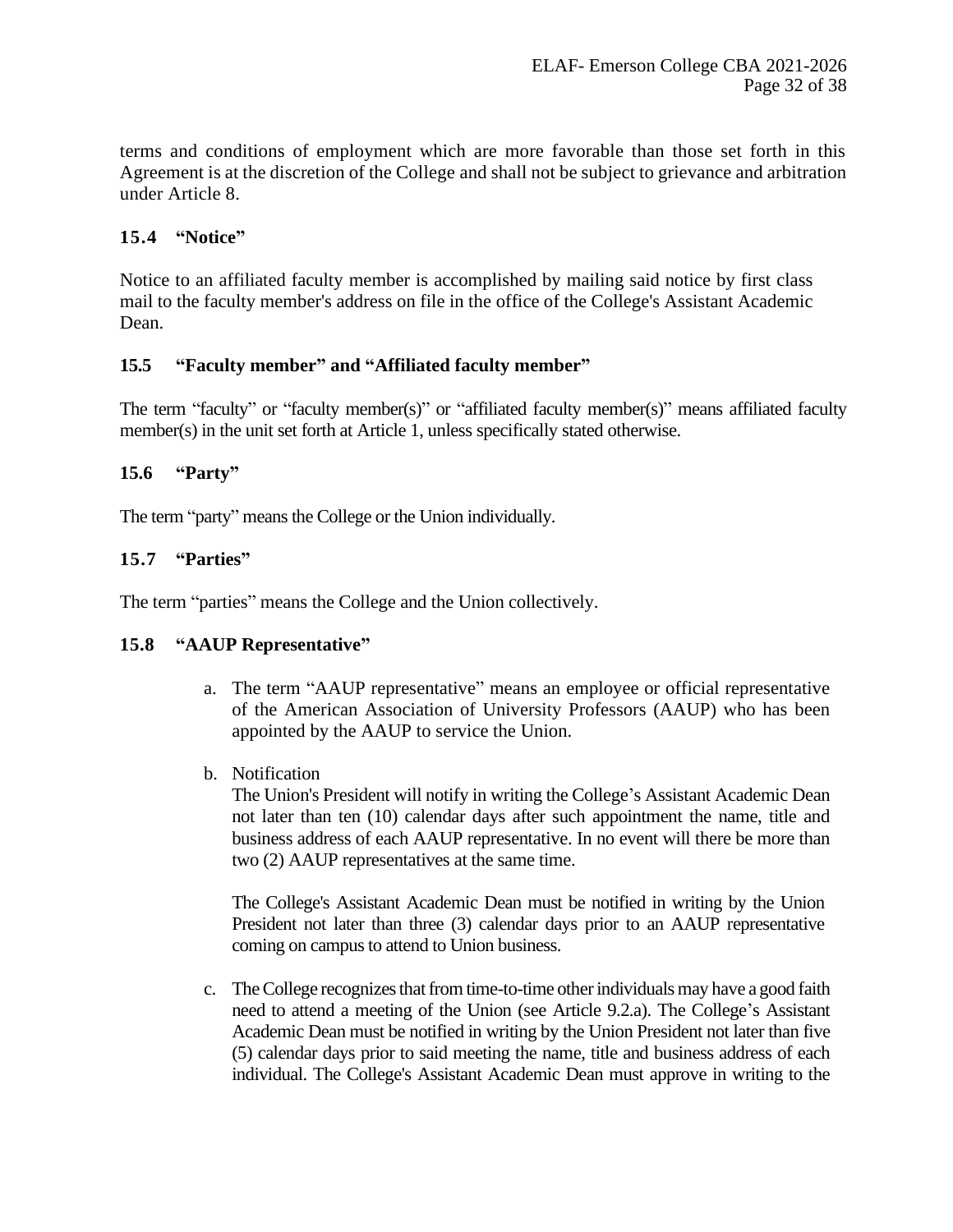terms and conditions of employment which are more favorable than those set forth in this Agreement is at the discretion of the College and shall not be subject to grievance and arbitration under Article 8.

# **15.4 "Notice"**

Notice to an affiliated faculty member is accomplished by mailing said notice by first class mail to the faculty member's address on file in the office of the College's Assistant Academic Dean.

#### **15.5 "Faculty member" and "Affiliated faculty member"**

The term "faculty" or "faculty member(s)" or "affiliated faculty member(s)" means affiliated faculty member(s) in the unit set forth at Article 1, unless specifically stated otherwise.

# **15.6 "Party"**

The term "party" means the College or the Union individually.

# **15.7 "Parties"**

The term "parties" means the College and the Union collectively.

#### **15.8 "AAUP Representative"**

- a. The term "AAUP representative" means an employee or official representative of the American Association of University Professors (AAUP) who has been appointed by the AAUP to service the Union.
- b. Notification

The Union's President will notify in writing the College's Assistant Academic Dean not later than ten (10) calendar days after such appointment the name, title and business address of each AAUP representative. In no event will there be more than two (2) AAUP representatives at the same time.

The College's Assistant Academic Dean must be notified in writing by the Union President not later than three (3) calendar days prior to an AAUP representative coming on campus to attend to Union business.

c. The College recognizes that from time-to-time other individuals may have a good faith need to attend a meeting of the Union (see Article 9.2.a). The College's Assistant Academic Dean must be notified in writing by the Union President not later than five (5) calendar days prior to said meeting the name, title and business address of each individual. The College's Assistant Academic Dean must approve in writing to the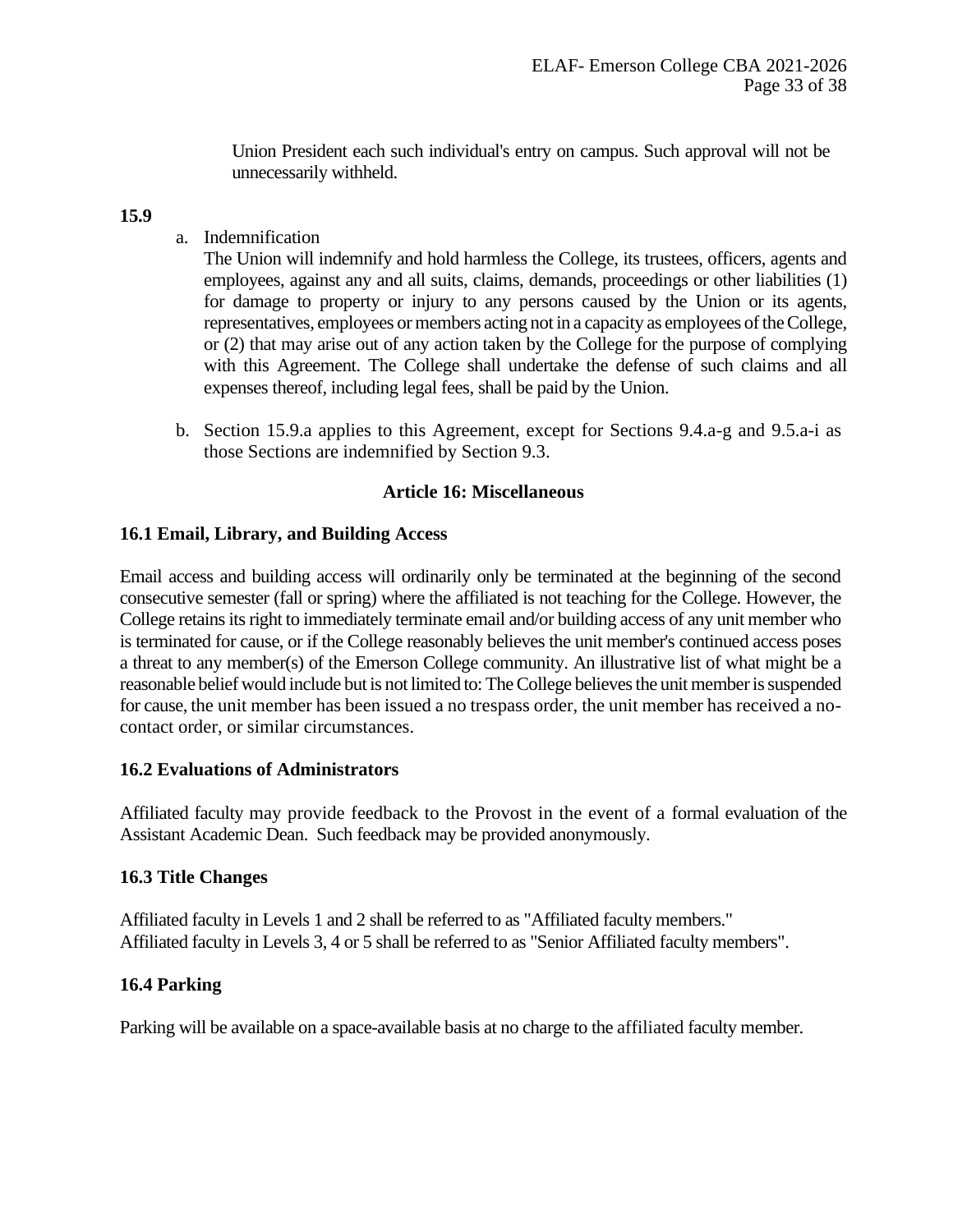Union President each such individual's entry on campus. Such approval will not be unnecessarily withheld.

# **15.9**

a. Indemnification

The Union will indemnify and hold harmless the College, its trustees, officers, agents and employees, against any and all suits, claims, demands, proceedings or other liabilities (1) for damage to property or injury to any persons caused by the Union or its agents, representatives, employees or members acting not in a capacity as employees of the College, or (2) that may arise out of any action taken by the College for the purpose of complying with this Agreement. The College shall undertake the defense of such claims and all expenses thereof, including legal fees, shall be paid by the Union.

b. Section 15.9.a applies to this Agreement, except for Sections 9.4.a-g and 9.5.a-i as those Sections are indemnified by Section 9.3.

# **Article 16: Miscellaneous**

# <span id="page-32-0"></span>**16.1 Email, Library, and Building Access**

Email access and building access will ordinarily only be terminated at the beginning of the second consecutive semester (fall or spring) where the affiliated is not teaching for the College. However, the College retains its right to immediately terminate email and/or building access of any unit member who is terminated for cause, or if the College reasonably believes the unit member's continued access poses a threat to any member(s) of the Emerson College community. An illustrative list of what might be a reasonable belief would include but is not limited to: The College believes the unit member is suspended for cause, the unit member has been issued a no trespass order, the unit member has received a nocontact order, or similar circumstances.

# **16.2 Evaluations of Administrators**

Affiliated faculty may provide feedback to the Provost in the event of a formal evaluation of the Assistant Academic Dean. Such feedback may be provided anonymously.

# **16.3 Title Changes**

Affiliated faculty in Levels 1 and 2 shall be referred to as "Affiliated faculty members." Affiliated faculty in Levels 3, 4 or 5 shall be referred to as "Senior Affiliated faculty members".

# **16.4 Parking**

Parking will be available on a space-available basis at no charge to the affiliated faculty member.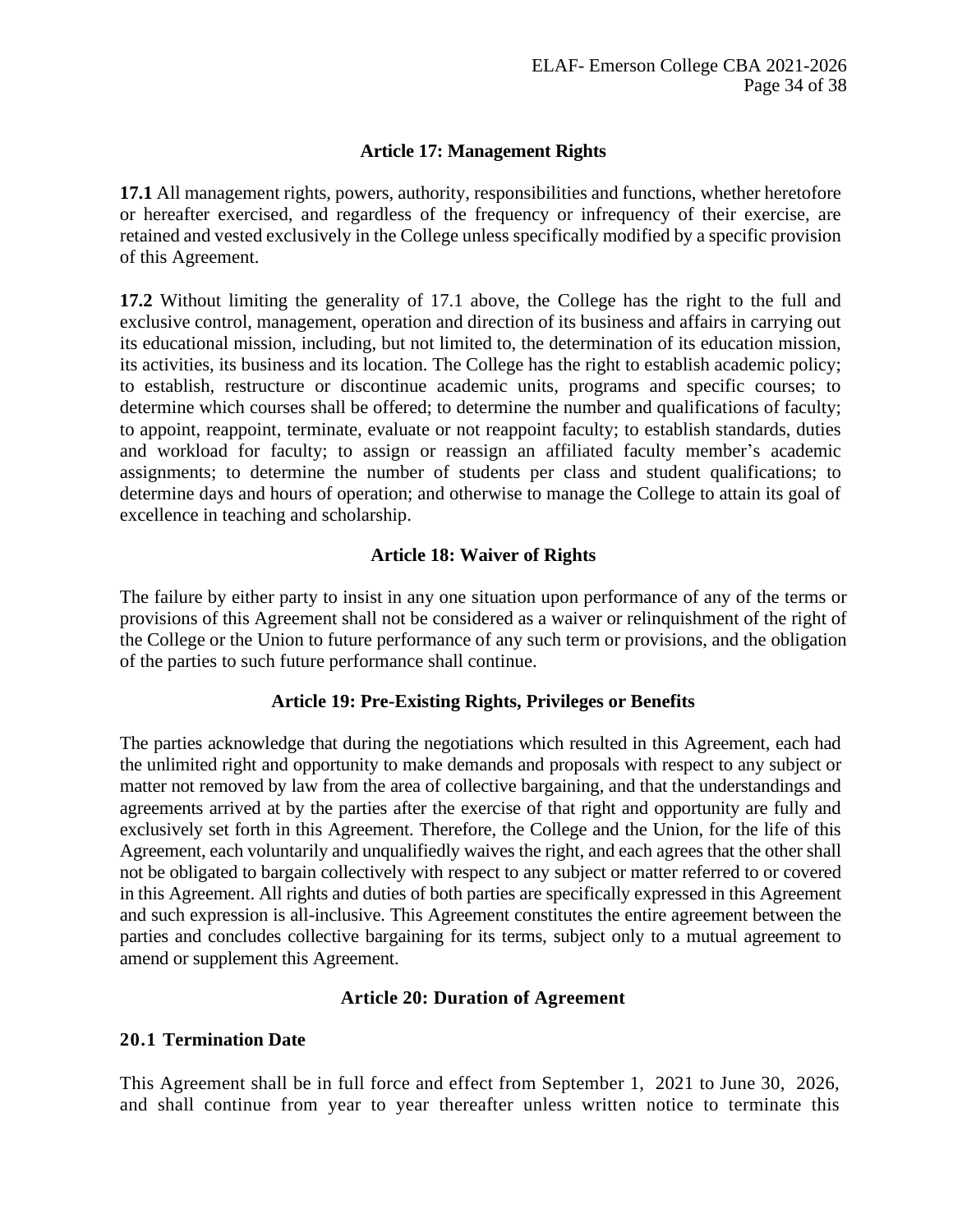# **Article 17: Management Rights**

<span id="page-33-0"></span>**17.1** All management rights, powers, authority, responsibilities and functions, whether heretofore or hereafter exercised, and regardless of the frequency or infrequency of their exercise, are retained and vested exclusively in the College unless specifically modified by a specific provision of this Agreement.

**17.2** Without limiting the generality of 17.1 above, the College has the right to the full and exclusive control, management, operation and direction of its business and affairs in carrying out its educational mission, including, but not limited to, the determination of its education mission, its activities, its business and its location. The College has the right to establish academic policy; to establish, restructure or discontinue academic units, programs and specific courses; to determine which courses shall be offered; to determine the number and qualifications of faculty; to appoint, reappoint, terminate, evaluate or not reappoint faculty; to establish standards, duties and workload for faculty; to assign or reassign an affiliated faculty member's academic assignments; to determine the number of students per class and student qualifications; to determine days and hours of operation; and otherwise to manage the College to attain its goal of excellence in teaching and scholarship.

# **Article 18: Waiver of Rights**

<span id="page-33-1"></span>The failure by either party to insist in any one situation upon performance of any of the terms or provisions of this Agreement shall not be considered as a waiver or relinquishment of the right of the College or the Union to future performance of any such term or provisions, and the obligation of the parties to such future performance shall continue.

# **Article 19: Pre-Existing Rights, Privileges or Benefits**

<span id="page-33-2"></span>The parties acknowledge that during the negotiations which resulted in this Agreement, each had the unlimited right and opportunity to make demands and proposals with respect to any subject or matter not removed by law from the area of collective bargaining, and that the understandings and agreements arrived at by the parties after the exercise of that right and opportunity are fully and exclusively set forth in this Agreement. Therefore, the College and the Union, for the life of this Agreement, each voluntarily and unqualifiedly waives the right, and each agrees that the other shall not be obligated to bargain collectively with respect to any subject or matter referred to or covered in this Agreement. All rights and duties of both parties are specifically expressed in this Agreement and such expression is all-inclusive. This Agreement constitutes the entire agreement between the parties and concludes collective bargaining for its terms, subject only to a mutual agreement to amend or supplement this Agreement.

#### **Article 20: Duration of Agreement**

#### <span id="page-33-3"></span>**20.1 Termination Date**

This Agreement shall be in full force and effect from September 1, 2021 to June 30, 2026, and shall continue from year to year thereafter unless written notice to terminate this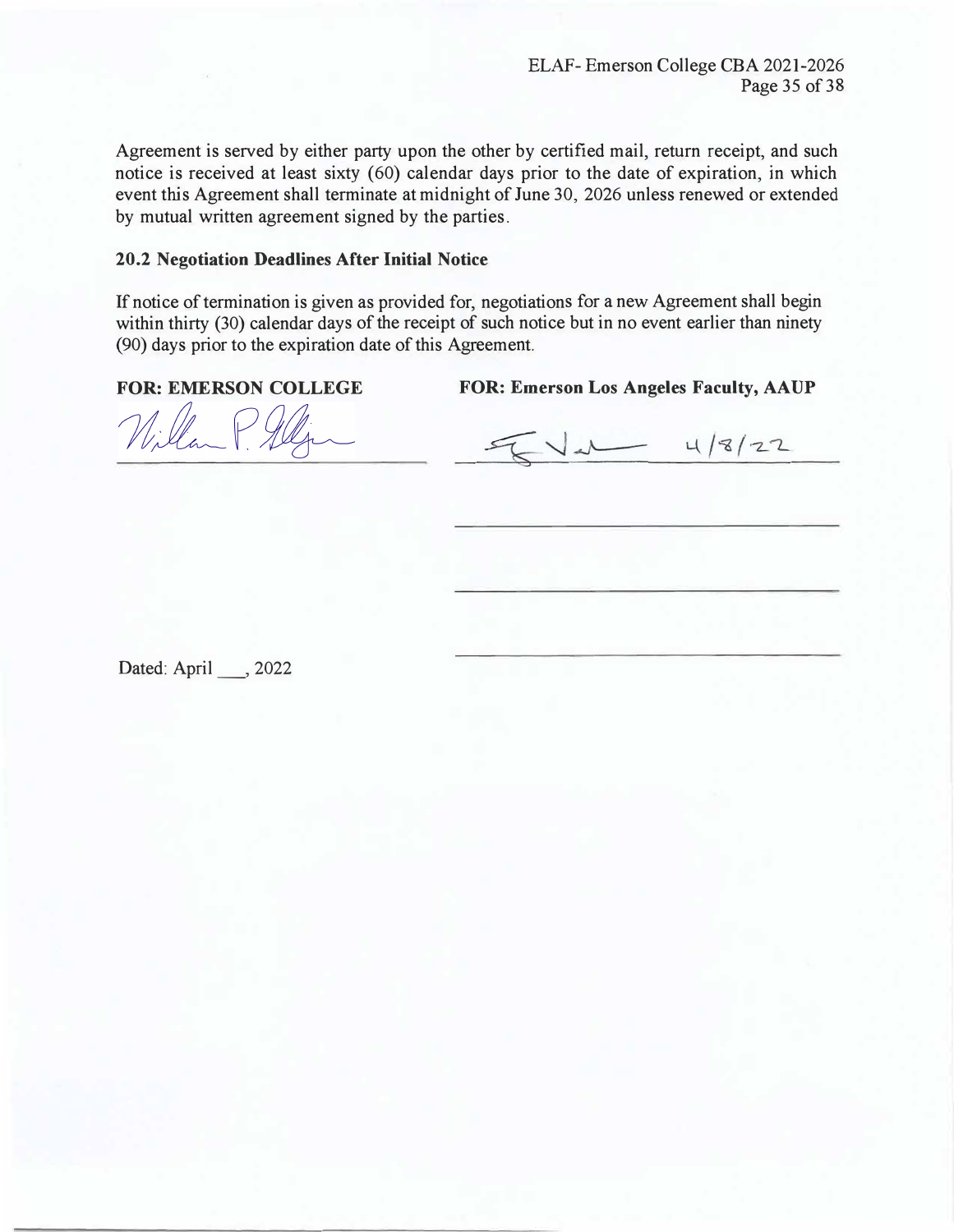Agreement is served by either party upon the other by certified mail, return receipt, and such notice is received at least sixty (60) calendar days prior to the date of expiration, in which event this Agreement shall terminate at midnight of June 30, 2026 unless renewed or extended by mutual written agreement signed by the parties.

#### **20.2 Negotiation Deadlines After Initial Notice**

If notice of termination is given as provided for, negotiations for a new Agreement shall begin within thirty (30) calendar days of the receipt of such notice but in no event earlier than ninety (90) days prior to the expiration date of this Agreement.

FOR: EMERSON COLLEGE FOR: Emerson Los Angeles Faculty, AAUP

Willan P All

 $V_{d}$  4/8/22

Dated: April , 2022